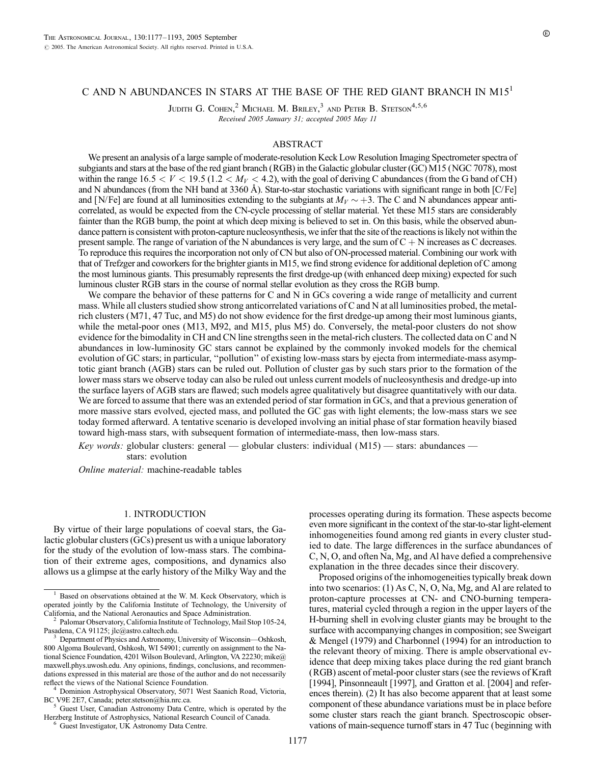# C AND N ABUNDANCES IN STARS AT THE BASE OF THE RED GIANT BRANCH IN M15<sup>1</sup>

JUDITH G. COHEN,<sup>2</sup> MICHAEL M. BRILEY,<sup>3</sup> AND PETER B. STETSON<sup>4,5,6</sup> Received 2005 January 31; accepted 2005 May 11

### ABSTRACT

We present an analysis of a large sample of moderate-resolution Keck Low Resolution Imaging Spectrometer spectra of subgiants and stars at the base of the red giant branch (RGB) in the Galactic globular cluster (GC) M15 (NGC 7078), most within the range  $16.5 < V < 19.5$  (1.2  $< M_V < 4.2$ ), with the goal of deriving C abundances (from the G band of CH) and N abundances (from the NH band at 3360 Å). Star-to-star stochastic variations with significant range in both  $[C/Fe]$ and [N/Fe] are found at all luminosities extending to the subgiants at  $M_V \sim +3$ . The C and N abundances appear anticorrelated, as would be expected from the CN-cycle processing of stellar material. Yet these M15 stars are considerably fainter than the RGB bump, the point at which deep mixing is believed to set in. On this basis, while the observed abundance pattern is consistent with proton-capture nucleosynthesis, we infer that the site of the reactions is likely not within the present sample. The range of variation of the N abundances is very large, and the sum of  $C + N$  increases as C decreases. To reproduce this requires the incorporation not only of CN but also of ON-processed material. Combining our work with that of Trefzger and coworkers for the brighter giants in M15, we find strong evidence for additional depletion of C among the most luminous giants. This presumably represents the first dredge-up (with enhanced deep mixing) expected for such luminous cluster RGB stars in the course of normal stellar evolution as they cross the RGB bump.

We compare the behavior of these patterns for C and N in GCs covering a wide range of metallicity and current mass. While all clusters studied show strong anticorrelated variations of C and N at all luminosities probed, the metalrich clusters (M71, 47 Tuc, and M5) do not show evidence for the first dredge-up among their most luminous giants, while the metal-poor ones (M13, M92, and M15, plus M5) do. Conversely, the metal-poor clusters do not show evidence for the bimodality in CH and CN line strengths seen in the metal-rich clusters. The collected data on C and N abundances in low-luminosity GC stars cannot be explained by the commonly invoked models for the chemical evolution of GC stars; in particular, ''pollution'' of existing low-mass stars by ejecta from intermediate-mass asymptotic giant branch (AGB) stars can be ruled out. Pollution of cluster gas by such stars prior to the formation of the lower mass stars we observe today can also be ruled out unless current models of nucleosynthesis and dredge-up into the surface layers of AGB stars are flawed; such models agree qualitatively but disagree quantitatively with our data. We are forced to assume that there was an extended period of star formation in GCs, and that a previous generation of more massive stars evolved, ejected mass, and polluted the GC gas with light elements; the low-mass stars we see today formed afterward. A tentative scenario is developed involving an initial phase of star formation heavily biased toward high-mass stars, with subsequent formation of intermediate-mass, then low-mass stars.

Key words: globular clusters: general — globular clusters: individual  $(M15)$  — stars: abundances stars: evolution

Online material: machine-readable tables

### 1. INTRODUCTION

By virtue of their large populations of coeval stars, the Galactic globular clusters (GCs) present us with a unique laboratory for the study of the evolution of low-mass stars. The combination of their extreme ages, compositions, and dynamics also allows us a glimpse at the early history of the Milky Way and the processes operating during its formation. These aspects become even more significant in the context of the star-to-star light-element inhomogeneities found among red giants in every cluster studied to date. The large differences in the surface abundances of C, N, O, and often Na, Mg, and Al have defied a comprehensive explanation in the three decades since their discovery.

Proposed origins of the inhomogeneities typically break down into two scenarios: (1) As C, N, O, Na, Mg, and Al are related to proton-capture processes at CN- and CNO-burning temperatures, material cycled through a region in the upper layers of the H-burning shell in evolving cluster giants may be brought to the surface with accompanying changes in composition; see Sweigart & Mengel (1979) and Charbonnel (1994) for an introduction to the relevant theory of mixing. There is ample observational evidence that deep mixing takes place during the red giant branch (RGB) ascent of metal-poor cluster stars (see the reviews of Kraft [1994], Pinsonneault [1997], and Gratton et al. [2004] and references therein). (2) It has also become apparent that at least some component of these abundance variations must be in place before some cluster stars reach the giant branch. Spectroscopic observations of main-sequence turnoff stars in 47 Tuc (beginning with

Based on observations obtained at the W. M. Keck Observatory, which is operated jointly by the California Institute of Technology, the University of

<sup>&</sup>lt;sup>2</sup> Palomar Observatory, California Institute of Technology, Mail Stop 105-24, Pasadena, CA 91125; jlc@astro.caltech.edu. <sup>3</sup> Department of Physics and Astronomy, University of Wisconsin—Oshkosh,

<sup>800</sup> Algoma Boulevard, Oshkosh, WI 54901; currently on assignment to the National Science Foundation, 4201 Wilson Boulevard, Arlington, VA 22230; mike@ maxwell.phys.uwosh.edu. Any opinions, findings, conclusions, and recommendations expressed in this material are those of the author and do not necessarily reflect the views of the National Science Foundation.

<sup>&</sup>lt;sup>4</sup> Dominion Astrophysical Observatory, 5071 West Saanich Road, Victoria, BC V9E 2E7, Canada; peter.stetson@hia.nrc.ca.

Guest User, Canadian Astronomy Data Centre, which is operated by the Herzberg Institute of Astrophysics, National Research Council of Canada. <sup>6</sup> Guest Investigator, UK Astronomy Data Centre.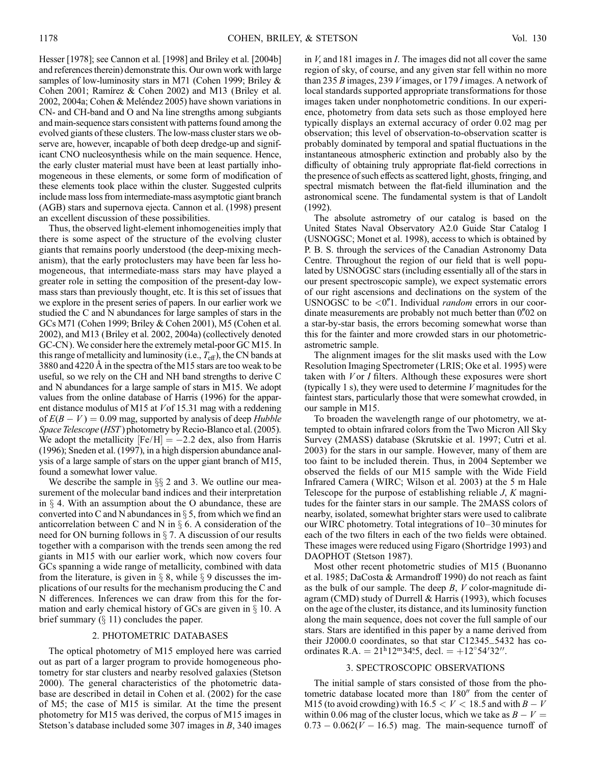Hesser [1978]; see Cannon et al. [1998] and Briley et al. [2004b] and references therein) demonstrate this. Our own work with large samples of low-luminosity stars in M71 (Cohen 1999; Briley & Cohen 2001; Ramírez & Cohen 2002) and M13 (Briley et al. 2002, 2004a; Cohen & Meléndez 2005) have shown variations in CN- and CH-band and O and Na line strengths among subgiants and main-sequence stars consistent with patterns found among the evolved giants of these clusters. The low-mass cluster stars we observe are, however, incapable of both deep dredge-up and significant CNO nucleosynthesis while on the main sequence. Hence, the early cluster material must have been at least partially inhomogeneous in these elements, or some form of modification of these elements took place within the cluster. Suggested culprits include mass loss from intermediate-mass asymptotic giant branch (AGB) stars and supernova ejecta. Cannon et al. (1998) present an excellent discussion of these possibilities.

Thus, the observed light-element inhomogeneities imply that there is some aspect of the structure of the evolving cluster giants that remains poorly understood (the deep-mixing mechanism), that the early protoclusters may have been far less homogeneous, that intermediate-mass stars may have played a greater role in setting the composition of the present-day lowmass stars than previously thought, etc. It is this set of issues that we explore in the present series of papers. In our earlier work we studied the C and N abundances for large samples of stars in the GCs M71 (Cohen 1999; Briley & Cohen 2001), M5 (Cohen et al. 2002), and M13 (Briley et al. 2002, 2004a) (collectively denoted GC-CN). We consider here the extremely metal-poor GC M15. In this range of metallicity and luminosity (i.e.,  $T_{\text{eff}}$ ), the CN bands at 3880 and 4220 Å in the spectra of the M15 stars are too weak to be useful, so we rely on the CH and NH band strengths to derive C and N abundances for a large sample of stars in M15. We adopt values from the online database of Harris (1996) for the apparent distance modulus of M15 at Vof 15.31 mag with a reddening of  $E(B - V) = 0.09$  mag, supported by analysis of deep *Hubble* Space Telescope (HST) photometry by Recio-Blanco et al. (2005). We adopt the metallicity  $[Fe/H] = -2.2$  dex, also from Harris (1996); Sneden et al. (1997), in a high dispersion abundance analysis of a large sample of stars on the upper giant branch of M15, found a somewhat lower value.

We describe the sample in  $\S$  2 and 3. We outline our measurement of the molecular band indices and their interpretation in  $\S$  4. With an assumption about the O abundance, these are converted into C and N abundances in  $\S$  5, from which we find an anticorrelation between C and N in  $\S$  6. A consideration of the need for ON burning follows in  $\S$  7. A discussion of our results together with a comparison with the trends seen among the red giants in M15 with our earlier work, which now covers four GCs spanning a wide range of metallicity, combined with data from the literature, is given in  $\S$  8, while  $\S$  9 discusses the implications of our results for the mechanism producing the C and N differences. Inferences we can draw from this for the formation and early chemical history of GCs are given in  $\S$  10. A brief summary  $(\S 11)$  concludes the paper.

#### 2. PHOTOMETRIC DATABASES

The optical photometry of M15 employed here was carried out as part of a larger program to provide homogeneous photometry for star clusters and nearby resolved galaxies (Stetson 2000). The general characteristics of the photometric database are described in detail in Cohen et al. (2002) for the case of M5; the case of M15 is similar. At the time the present photometry for M15 was derived, the corpus of M15 images in Stetson's database included some 307 images in B, 340 images

in V, and 181 images in I. The images did not all cover the same region of sky, of course, and any given star fell within no more than 235 B images, 239 Vimages, or 179 I images. A network of local standards supported appropriate transformations for those images taken under nonphotometric conditions. In our experience, photometry from data sets such as those employed here typically displays an external accuracy of order 0.02 mag per observation; this level of observation-to-observation scatter is probably dominated by temporal and spatial fluctuations in the instantaneous atmospheric extinction and probably also by the difficulty of obtaining truly appropriate flat-field corrections in the presence of such effects as scattered light, ghosts, fringing, and spectral mismatch between the flat-field illumination and the astronomical scene. The fundamental system is that of Landolt (1992).

The absolute astrometry of our catalog is based on the United States Naval Observatory A2.0 Guide Star Catalog I (USNOGSC; Monet et al. 1998), access to which is obtained by P. B. S. through the services of the Canadian Astronomy Data Centre. Throughout the region of our field that is well populated by USNOGSC stars (including essentially all of the stars in our present spectroscopic sample), we expect systematic errors of our right ascensions and declinations on the system of the USNOGSC to be  $\langle 0 \rangle$ <sup>n</sup>. Individual *random* errors in our coordinate measurements are probably not much better than 0."02 on a star-by-star basis, the errors becoming somewhat worse than this for the fainter and more crowded stars in our photometricastrometric sample.

The alignment images for the slit masks used with the Low Resolution Imaging Spectrometer (LRIS; Oke et al. 1995) were taken with  $V$  or  $I$  filters. Although these exposures were short (typically 1 s), they were used to determine  $V$  magnitudes for the faintest stars, particularly those that were somewhat crowded, in our sample in M15.

To broaden the wavelength range of our photometry, we attempted to obtain infrared colors from the Two Micron All Sky Survey (2MASS) database (Skrutskie et al. 1997; Cutri et al. 2003) for the stars in our sample. However, many of them are too faint to be included therein. Thus, in 2004 September we observed the fields of our M15 sample with the Wide Field Infrared Camera (WIRC; Wilson et al. 2003) at the 5 m Hale Telescope for the purpose of establishing reliable  $J$ ,  $K$  magnitudes for the fainter stars in our sample. The 2MASS colors of nearby, isolated, somewhat brighter stars were used to calibrate our WIRC photometry. Total integrations of 10–30 minutes for each of the two filters in each of the two fields were obtained. These images were reduced using Figaro (Shortridge 1993) and DAOPHOT (Stetson 1987).

Most other recent photometric studies of M15 (Buonanno et al. 1985; DaCosta & Armandroff 1990) do not reach as faint as the bulk of our sample. The deep  $B$ ,  $V$  color-magnitude diagram (CMD) study of Durrell & Harris (1993), which focuses on the age of the cluster, its distance, and its luminosity function along the main sequence, does not cover the full sample of our stars. Stars are identified in this paper by a name derived from their J2000.0 coordinates, so that star C12345\_5432 has coordinates R.A. =  $21^{\text{h}}12^{\text{m}}34.5$ , decl. =  $+12^{\circ}54'32''$ .

## 3. SPECTROSCOPIC OBSERVATIONS

The initial sample of stars consisted of those from the photometric database located more than 180" from the center of M15 (to avoid crowding) with  $16.5 < V < 18.5$  and with  $B-V$ within 0.06 mag of the cluster locus, which we take as  $B - V =$  $0.73 - 0.062(V - 16.5)$  mag. The main-sequence turnoff of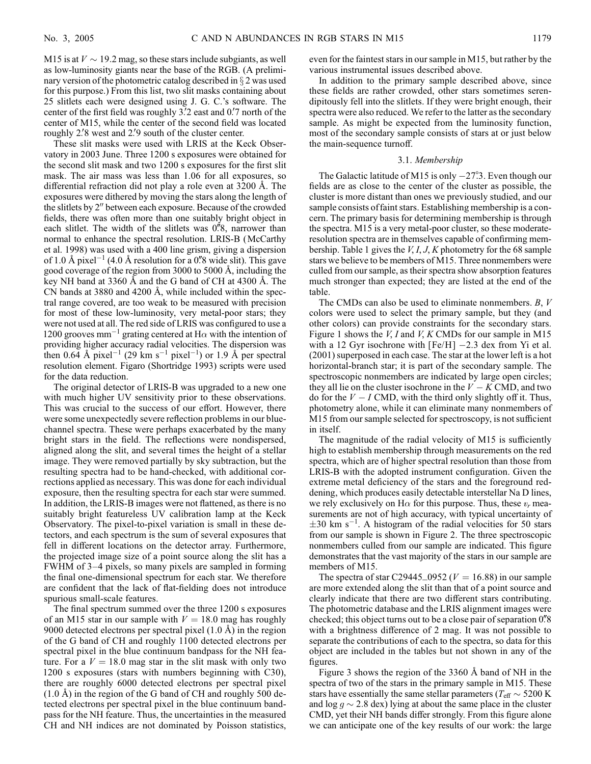M15 is at  $V \sim 19.2$  mag, so these stars include subgiants, as well as low-luminosity giants near the base of the RGB. (A preliminary version of the photometric catalog described in  $\S 2$  was used for this purpose.) From this list, two slit masks containing about 25 slitlets each were designed using J. G. C.'s software. The center of the first field was roughly 3.'2 east and 0.'7 north of the center of M15, while the center of the second field was located roughly 2.<sup>2</sup>8 west and 2.<sup>2</sup>9 south of the cluster center.

These slit masks were used with LRIS at the Keck Observatory in 2003 June. Three 1200 s exposures were obtained for the second slit mask and two 1200 s exposures for the first slit mask. The air mass was less than 1.06 for all exposures, so differential refraction did not play a role even at  $3200 \text{ Å}$ . The exposures were dithered by moving the stars along the length of the slitlets by 2" between each exposure. Because of the crowded fields, there was often more than one suitably bright object in each slitlet. The width of the slitlets was  $0\degree\%$ , narrower than normal to enhance the spectral resolution. LRIS-B (McCarthy et al. 1998) was used with a 400 line grism, giving a dispersion of 1.0 Å pixel<sup>-1</sup> (4.0 Å resolution for a 0. 8 wide slit). This gave good coverage of the region from 3000 to 5000  $\AA$ , including the key NH band at  $3360 \text{ Å}$  and the G band of CH at  $4300 \text{ Å}$ . The CN bands at  $3880$  and  $4200$  Å, while included within the spectral range covered, are too weak to be measured with precision for most of these low-luminosity, very metal-poor stars; they were not used at all. The red side of LRIS was configured to use a 1200 grooves mm<sup>-1</sup> grating centered at H $\alpha$  with the intention of providing higher accuracy radial velocities. The dispersion was then 0.64 Å pixel<sup>-1</sup> (29 km s<sup>-1</sup> pixel<sup>-1</sup>) or 1.9 Å per spectral resolution element. Figaro (Shortridge 1993) scripts were used for the data reduction.

The original detector of LRIS-B was upgraded to a new one with much higher UV sensitivity prior to these observations. This was crucial to the success of our effort. However, there were some unexpectedly severe reflection problems in our bluechannel spectra. These were perhaps exacerbated by the many bright stars in the field. The reflections were nondispersed, aligned along the slit, and several times the height of a stellar image. They were removed partially by sky subtraction, but the resulting spectra had to be hand-checked, with additional corrections applied as necessary. This was done for each individual exposure, then the resulting spectra for each star were summed. In addition, the LRIS-B images were not flattened, as there is no suitably bright featureless UV calibration lamp at the Keck Observatory. The pixel-to-pixel variation is small in these detectors, and each spectrum is the sum of several exposures that fell in different locations on the detector array. Furthermore, the projected image size of a point source along the slit has a FWHM of 3–4 pixels, so many pixels are sampled in forming the final one-dimensional spectrum for each star. We therefore are confident that the lack of flat-fielding does not introduce spurious small-scale features.

The final spectrum summed over the three 1200 s exposures of an M15 star in our sample with  $V = 18.0$  mag has roughly 9000 detected electrons per spectral pixel  $(1.0 \text{ Å})$  in the region of the G band of CH and roughly 1100 detected electrons per spectral pixel in the blue continuum bandpass for the NH feature. For a  $V = 18.0$  mag star in the slit mask with only two 1200 s exposures (stars with numbers beginning with C30), there are roughly 6000 detected electrons per spectral pixel  $(1.0 \text{ Å})$  in the region of the G band of CH and roughly 500 detected electrons per spectral pixel in the blue continuum bandpass for the NH feature. Thus, the uncertainties in the measured CH and NH indices are not dominated by Poisson statistics, even for the faintest stars in our sample in M15, but rather by the various instrumental issues described above.

In addition to the primary sample described above, since these fields are rather crowded, other stars sometimes serendipitously fell into the slitlets. If they were bright enough, their spectra were also reduced. We refer to the latter as the secondary sample. As might be expected from the luminosity function, most of the secondary sample consists of stars at or just below the main-sequence turnoff.

### 3.1. Membership

The Galactic latitude of M15 is only  $-27^\circ$ .3. Even though our fields are as close to the center of the cluster as possible, the cluster is more distant than ones we previously studied, and our sample consists of faint stars. Establishing membership is a concern. The primary basis for determining membership is through the spectra. M15 is a very metal-poor cluster, so these moderateresolution spectra are in themselves capable of confirming membership. Table 1 gives the  $V, I, J, K$  photometry for the 68 sample stars we believe to be members of M15. Three nonmembers were culled from our sample, as their spectra show absorption features much stronger than expected; they are listed at the end of the table.

The CMDs can also be used to eliminate nonmembers. B, V colors were used to select the primary sample, but they (and other colors) can provide constraints for the secondary stars. Figure 1 shows the  $V, I$  and  $V, K$  CMDs for our sample in M15 with a 12 Gyr isochrone with  $[Fe/H]$   $-2.3$  dex from Yi et al. (2001) superposed in each case. The star at the lower left is a hot horizontal-branch star; it is part of the secondary sample. The spectroscopic nonmembers are indicated by large open circles; they all lie on the cluster isochrone in the  $V - K$  CMD, and two do for the  $V - I$  CMD, with the third only slightly off it. Thus, photometry alone, while it can eliminate many nonmembers of M15 from our sample selected for spectroscopy, is not sufficient in itself.

The magnitude of the radial velocity of M15 is sufficiently high to establish membership through measurements on the red spectra, which are of higher spectral resolution than those from LRIS-B with the adopted instrument configuration. Given the extreme metal deficiency of the stars and the foreground reddening, which produces easily detectable interstellar Na D lines, we rely exclusively on H $\alpha$  for this purpose. Thus, these  $v_r$  measurements are not of high accuracy, with typical uncertainty of  $\pm 30$  km s<sup>-1</sup>. A histogram of the radial velocities for 50 stars from our sample is shown in Figure 2. The three spectroscopic nonmembers culled from our sample are indicated. This figure demonstrates that the vast majority of the stars in our sample are members of M15.

The spectra of star C29445\_0952 ( $V = 16.88$ ) in our sample are more extended along the slit than that of a point source and clearly indicate that there are two different stars contributing. The photometric database and the LRIS alignment images were checked; this object turns out to be a close pair of separation 0.<sup>8</sup> with a brightness difference of 2 mag. It was not possible to separate the contributions of each to the spectra, so data for this object are included in the tables but not shown in any of the figures.

Figure 3 shows the region of the 3360 Å band of NH in the spectra of two of the stars in the primary sample in M15. These stars have essentially the same stellar parameters ( $T_{\text{eff}} \sim 5200 \text{ K}$ and  $\log g \sim 2.8$  dex) lying at about the same place in the cluster CMD, yet their NH bands differ strongly. From this figure alone we can anticipate one of the key results of our work: the large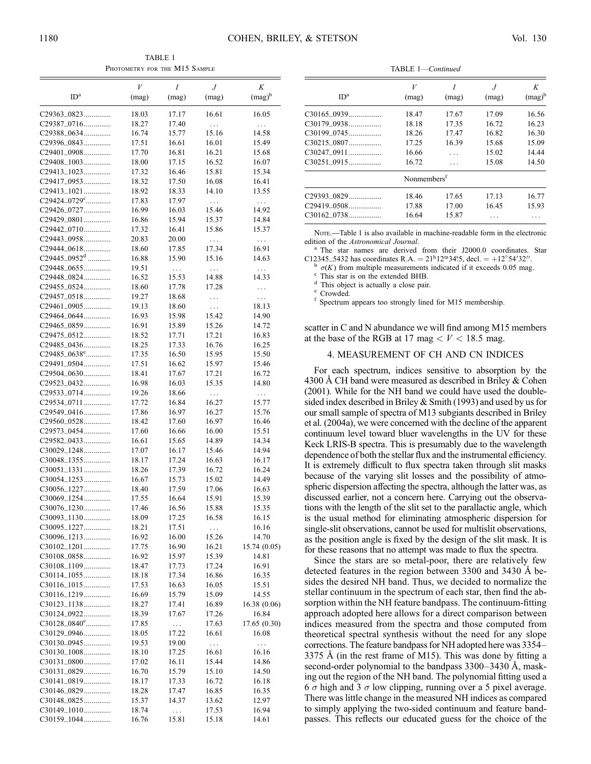TABLE 1 PHOTOMETRY FOR THE M15 SAMPLE

|                               | V              | Ι                 | J              | Κ                 |
|-------------------------------|----------------|-------------------|----------------|-------------------|
| ID <sup>a</sup>               | (mag)          | (mag)             | (mag)          | $(mag)^b$         |
|                               |                |                   |                |                   |
| C29363_0823                   | 18.03          | 17.17             | 16.61          | 16.05             |
| C29387_0716<br>C29388_0634    | 18.27          | 17.40             | $\ldots$       | $\ldots$          |
|                               | 16.74          | 15.77             | 15.16          | 14.58             |
| C29396_0843                   | 17.51          | 16.61             | 16.01          | 15.49             |
| C29401_0908                   | 17.70          | 16.81             | 16.21          | 15.68             |
| C29408_1003                   | 18.00          | 17.15             | 16.52          | 16.07             |
| $C29413\_1023$                | 17.32          | 16.46             | 15.81          | 15.34             |
| C29417_0953<br>C29413_1021    | 18.32          | 17.50             | 16.08          | 16.41<br>13.55    |
| C29424_0729°                  | 18.92<br>17.83 | 18.33             | 14.10          |                   |
| C29426_0727                   | 16.99          | 17.97<br>16.03    | .<br>15.46     | $\ldots$<br>14.92 |
| C29429_0801                   | 16.86          | 15.94             | 15.37          | 14.84             |
| C29442_0710                   | 17.32          | 16.41             | 15.86          | 15.37             |
| C29443_0958                   | 20.83          | 20.00             |                |                   |
| C29444_0618                   | 18.60          | 17.85             | .<br>17.34     | $\cdots$<br>16.91 |
| $C29445\_0952^d$              | 16.88          | 15.90             | 15.16          | 14.63             |
| C29448_0655                   | 19.51          |                   |                |                   |
| C29448_0824                   | 16.52          | $\cdots$<br>15.53 | .<br>14.88     | $\cdots$<br>14.33 |
| C29455_0524                   | 18.60          | 17.78             | 17.28          |                   |
|                               |                |                   |                | .                 |
| C29457_0518<br>$C29461\_0905$ | 19.27<br>19.13 | 18.68<br>18.60    | .              | $\cdots$<br>18.13 |
| C29464_0644                   |                |                   | $\ldots$       |                   |
| C29465_0859                   | 16.93<br>16.91 | 15.98<br>15.89    | 15.42<br>15.26 | 14.90<br>14.72    |
| C29475_0512                   | 18.52          | 17.71             | 17.21          | 16.83             |
| C29485_0436                   | 18.25          | 17.33             | 16.76          | 16.25             |
| $C29485\_0638$ <sup>e</sup>   | 17.35          | 16.50             | 15.95          | 15.50             |
| C29491_0504                   | 17.51          | 16.62             | 15.97          | 15.46             |
| C29504_0630                   | 18.41          | 17.67             | 17.21          | 16.72             |
| C29523_0432                   | 16.98          | 16.03             | 15.35          | 14.80             |
| C29533_0714                   | 19.26          | 18.66             | $\cdots$       | .                 |
| C29534_0711                   | 17.72          | 16.84             | 16.27          | 15.77             |
| C29549_0416                   | 17.86          | 16.97             | 16.27          | 15.76             |
| C29560_0528                   | 18.42          | 17.60             | 16.97          | 16.46             |
| C29573_0454                   | 17.60          | 16.66             | 16.00          | 15.51             |
| C29582_0433                   | 16.61          | 15.65             | 14.89          | 14.34             |
| C30029_1248                   | 17.07          | 16.17             | 15.46          | 14.94             |
| C30048_1355                   | 18.17          | 17.24             | 16.63          | 16.17             |
| $C30051\_1331$                | 18.26          | 17.39             | 16.72          | 16.24             |
| $C30054\_1253$                | 16.67          | 15.73             | 15.02          | 14.49             |
| C30056_1227                   | 18.40          | 17.59             | 17.06          | 16.63             |
| $C30069 - 1254$               | 17.55          | 16.64             | 15.91          | 15.39             |
| C30076_1230                   | 17.46          | 16.56             | 15.88          | 15.35             |
| C30093_1130                   | 18.09          | 17.25             | 16.58          | 16.15             |
| $C30095\_1227$                | 18.21          | 17.51             | $\cdots$       | 16.16             |
| C30096_1213                   | 16.92          | 16.00             | 15.26          | 14.70             |
| $C30102\_1201$                | 17.75          | 16.90             | 16.21          | 15.74(0.05)       |
| C30108_0858                   | 16.92          | 15.97             | 15.39          | 14.81             |
| C30108_1109                   | 18.47          | 17.73             | 17.24          | 16.91             |
| C30114_1055                   | 18.18          | 17.34             | 16.86          | 16.35             |
| C30116_1015                   | 17.53          | 16.63             | 16.05          | 15.51             |
| C30116_1219                   | 16.69          | 15.79             | 15.09          | 14.55             |
| C30123_1138                   | 18.27          | 17.41             | 16.89          | 16.38(0.06)       |
| $C30124\_0922$                | 18.39          | 17.67             | 17.26          | 16.84             |
| C30128_0840°                  | 17.85          | .                 | 17.63          | 17.65(0.30)       |
| C30129_0946                   | 18.05          | 17.22             | 16.61          | 16.08             |
| C30130_0945                   | 19.53          | 19.00             | .              | .                 |
| C30130_1008                   | 18.10          | 17.25             | 16.61          | 16.16             |
| C30131_0800                   | 17.02          | 16.11             | 15.44          | 14.86             |
| C30131_0829                   | 16.70          | 15.79             | 15.10          | 14.50             |
| C30141_0819                   | 18.17          | 17.33             | 16.72          | 16.18             |
| C30146_0829                   | 18.28          | 17.47             | 16.85          | 16.35             |
| C30148_0825                   | 15.37          | 14.37             | 13.62          | 12.97             |
| C30149_1010                   | 18.74          | $\ddotsc$         | 17.53          | 16.94             |
| C30159_1044                   | 16.76          | 15.81             | 15.18          | 14.61             |

TABLE 1—Continued

| ID <sup>a</sup> | V<br>(mag)              | I<br>(mag) | .1<br>(mag) | K<br>$(mag)^b$ |
|-----------------|-------------------------|------------|-------------|----------------|
| $C30165\_0939$  | 18.47                   | 17.67      | 17.09       | 16.56          |
| $C30179\_0938$  | 18.18                   | 17.35      | 16.72       | 16.23          |
|                 | 18.26                   | 17.47      | 16.82       | 16.30          |
| C30215_0807     | 17.25                   | 16.39      | 15.68       | 15.09          |
| $C30247\_0911$  | 16.66                   | .          | 15.02       | 14.44          |
| $C30251\_0915$  | 16.72                   | .          | 15.08       | 14.50          |
|                 | Nonmembers <sup>f</sup> |            |             |                |
| C29393_0829     | 18.46                   | 17.65      | 17.13       | 16.77          |
| $C29419\_0508$  | 17.88                   | 17.00      | 16.45       | 15.93          |
| $C30162 - 0738$ | 16.64                   | 15.87      | .           | .              |

Note.—Table 1 is also available in machine-readable form in the electronic edition of the *Astronomical Journal*.

The star names are derived from their J2000.0 coordinates. Star

C12345\_5432 has coordinates R.A. =  $21^{\text{h}}12^{\text{m}}34^{\text{m}}5$ , decl. =  $+12^{\circ}54'32''$ .<br>  $\frac{\text{b}}{\sigma(K)}$  from multiple measurements indicated if it exceeds 0.05 mag  $\binom{b}{c}$  o(K) from multiple measurements indicated if it exceeds 0.05 mag.<br>
c This star is on the extended BHB.<br>
d This object is actually a close pair.<br>
f Spectrum appears too strongly lined for M15 membership.

scatter in C and N abundance we will find among M15 members at the base of the RGB at 17 mag  $\lt V \lt 18.5$  mag.

# 4. MEASUREMENT OF CH AND CN INDICES

For each spectrum, indices sensitive to absorption by the 4300 Å CH band were measured as described in Briley  $&$  Cohen (2001). While for the NH band we could have used the doublesided index described in Briley & Smith (1993) and used by us for our small sample of spectra of M13 subgiants described in Briley et al. (2004a), we were concerned with the decline of the apparent continuum level toward bluer wavelengths in the UV for these Keck LRIS-B spectra. This is presumably due to the wavelength dependence of both the stellar flux and the instrumental efficiency. It is extremely difficult to flux spectra taken through slit masks because of the varying slit losses and the possibility of atmospheric dispersion affecting the spectra, although the latter was, as discussed earlier, not a concern here. Carrying out the observations with the length of the slit set to the parallactic angle, which is the usual method for eliminating atmospheric dispersion for single-slit observations, cannot be used for multislit observations, as the position angle is fixed by the design of the slit mask. It is for these reasons that no attempt was made to flux the spectra.

Since the stars are so metal-poor, there are relatively few detected features in the region between 3300 and 3430 Å besides the desired NH band. Thus, we decided to normalize the stellar continuum in the spectrum of each star, then find the absorption within the NH feature bandpass. The continuum-fitting approach adopted here allows for a direct comparison between indices measured from the spectra and those computed from theoretical spectral synthesis without the need for any slope corrections. The feature bandpass for NH adopted here was 3354– 3375 Å (in the rest frame of M15). This was done by fitting a second-order polynomial to the bandpass  $3300-3430$  Å, masking out the region of the NH band. The polynomial fitting used a 6  $\sigma$  high and 3  $\sigma$  low clipping, running over a 5 pixel average. There was little change in the measured NH indices as compared to simply applying the two-sided continuum and feature bandpasses. This reflects our educated guess for the choice of the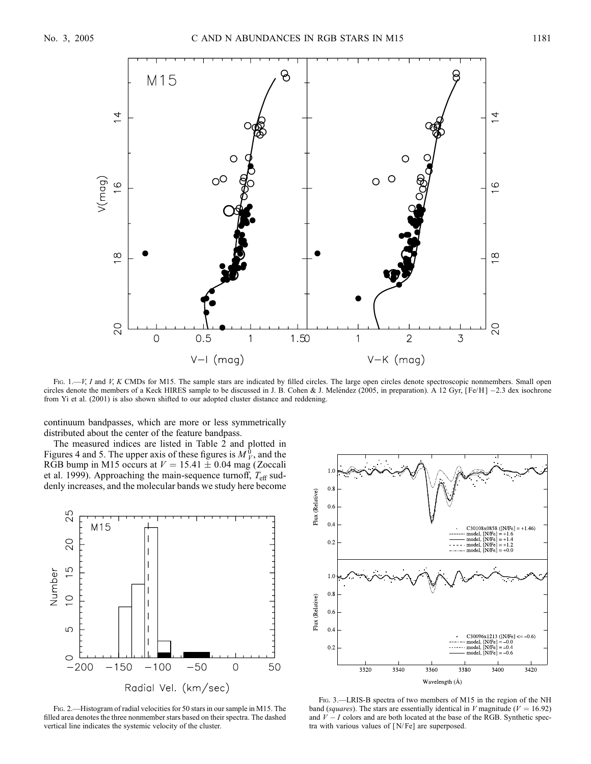

Fig. 1.—V, I and V, K CMDs for M15. The sample stars are indicated by filled circles. The large open circles denote spectroscopic nonmembers. Small open circles denote the members of a Keck HIRES sample to be discussed in J. B. Cohen & J. Meléndez (2005, in preparation). A 12 Gyr, [Fe/H] -2.3 dex isochrone from Yi et al. (2001) is also shown shifted to our adopted cluster distance and reddening.

continuum bandpasses, which are more or less symmetrically distributed about the center of the feature bandpass.

The measured indices are listed in Table 2 and plotted in Figures 4 and 5. The upper axis of these figures is  $M_V^0$ , and the RGB bump in M15 occurs at  $V = 15.41 \pm 0.04$  mag (Zoccali et al. 1999). Approaching the main-sequence turnoff,  $T_{\text{eff}}$  suddenly increases, and the molecular bands we study here become



Fig. 2.—Histogram of radial velocities for 50 stars in our sample in M15. The filled area denotes the three nonmember stars based on their spectra. The dashed vertical line indicates the systemic velocity of the cluster.



Fig. 3.—LRIS-B spectra of two members of M15 in the region of the NH band (squares). The stars are essentially identical in V magnitude ( $V = 16.92$ ) and  $V-I$  colors and are both located at the base of the RGB. Synthetic spectra with various values of [ N/ Fe] are superposed.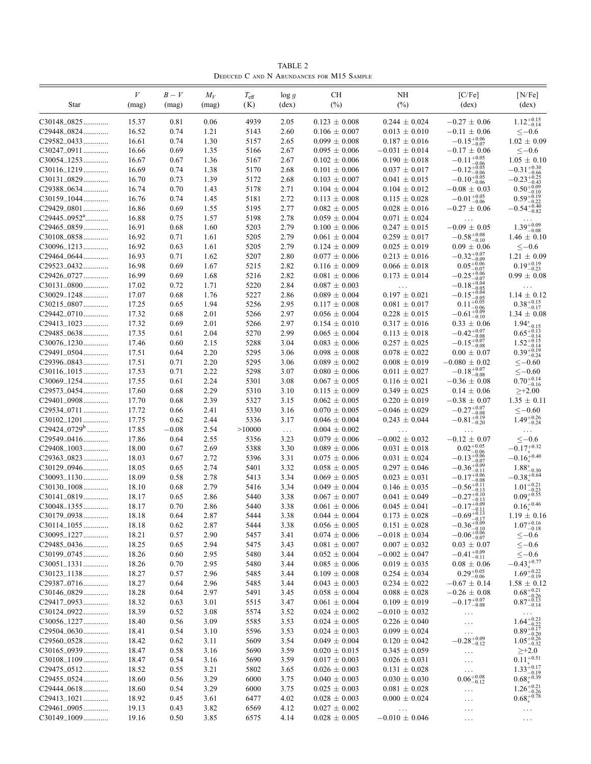TABLE 2 Deduced C and N Abundances for M15 Sample

|                               | V              | $B-V$        | $M_V$        | $T_{\rm eff}$ | $\log g$       | СH                                       | NH                                     | [ <b>CF</b> <sub>e</sub> ]                  | [N/Fe]                                                                                                               |
|-------------------------------|----------------|--------------|--------------|---------------|----------------|------------------------------------------|----------------------------------------|---------------------------------------------|----------------------------------------------------------------------------------------------------------------------|
| Star                          | (mag)          | (mag)        | (mag)        | (K)           | $(\text{dex})$ | $(\%)$                                   | (%)                                    | $(\text{dex})$                              | $(\text{dex})$                                                                                                       |
| C30148_0825                   | 15.37          | 0.81         | 0.06         | 4939          | 2.05           | $0.123 \pm 0.008$                        | $0.244 \pm 0.024$                      | $-0.27 \pm 0.06$                            | $1.12^{+0.15}_{-0.14}$                                                                                               |
| C29448_0824                   | 16.52          | 0.74         | 1.21         | 5143          | 2.60           | $0.106 \pm 0.007$                        | $0.013 \pm 0.010$                      | $-0.11 \pm 0.06$                            | $<-0.6$                                                                                                              |
| C29582_0433                   | 16.61          | 0.74         | 1.30         | 5157          | 2.65           | $0.099 \pm 0.008$                        | $0.187 \pm 0.016$                      | $-0.15_{-0.07}^{+0.06}$                     | $1.02 \pm 0.09$                                                                                                      |
| $C30247\_0911$                | 16.66          | 0.69         | 1.35         | 5166          | 2.67           | $0.095 \pm 0.006$                        | $-0.031 \pm 0.014$                     | $-0.17 \pm 0.06$                            | $\leq -0.6$                                                                                                          |
| $C30054\_1253$                | 16.67          | 0.67         | 1.36         | 5167          | 2.67           | $0.102 \pm 0.006$                        | $0.190 \pm 0.018$                      | $-0.11^{+0.05}_{-0.06}$                     | $1.05 \pm 0.10$                                                                                                      |
| C30116_1219                   | 16.69          | 0.74         | 1.38         | 5170          | 2.68           | $0.101 \pm 0.006$                        | $0.037 \pm 0.017$                      | $-0.12_{-0.06}^{+0.05}$                     | $-0.31_{-0.66}^{+0.30}$<br>$-0.23_{-0.43}^{+0.25}$                                                                   |
| C30131_0829<br>C29388_0634    | 16.70<br>16.74 | 0.73         | 1.39<br>1.43 | 5172          | 2.68           | $0.103 \pm 0.007$                        | $0.041 \pm 0.015$                      | $-0.10_{-0.06}^{+0.05}$<br>$-0.08 \pm 0.03$ | $0.50^{+0.09}_{-0.12}$                                                                                               |
| C30159_1044                   | 16.76          | 0.70<br>0.74 | 1.45         | 5178<br>5181  | 2.71<br>2.72   | $0.104 \pm 0.004$<br>$0.113 \pm 0.008$   | $0.104 \pm 0.012$<br>$0.115 \pm 0.028$ | $-0.01 \substack{+0.05 \\ -0.06}$           | $-0.10$<br>$0.59^{+0.19}_{-0.22}$                                                                                    |
| C29429_0801                   | 16.86          | 0.69         | 1.55         | 5195          | 2.77           | $0.082 \pm 0.005$                        | $0.028 \pm 0.016$                      | $-0.27 \pm 0.06$                            | $-0.22$<br>$-0.54_{-0.82}^{+0.40}$                                                                                   |
| C29445_0952 <sup>a</sup>      | 16.88          | 0.75         | 1.57         | 5198          | 2.78           | $0.059 \pm 0.004$                        | $0.071 \pm 0.024$                      | $\ldots$                                    |                                                                                                                      |
| C29465_0859                   | 16.91          | 0.68         | 1.60         | 5203          | 2.79           | $0.100 \pm 0.006$                        | $0.247 \pm 0.015$                      | $-0.09 \pm 0.05$                            | $1.39_{-0.08}^{+0.09}$                                                                                               |
| C30108_0858                   | 16.92          | 0.71         | 1.61         | 5205          | 2.79           | $0.061 \pm 0.004$                        | $0.259 \pm 0.017$                      | $-0.58^{+0.08}_{-0.10}$                     | $1.46 \pm 0.10$                                                                                                      |
| $C30096\_1213$                | 16.92          | 0.63         | 1.61         | 5205          | 2.79           | $0.124 \pm 0.009$                        | $0.025 \pm 0.019$                      | $0.09 \pm 0.06$                             | $\leq -0.6$                                                                                                          |
| C29464_0644                   | 16.93          | 0.71         | 1.62         | 5207          | 2.80           | $0.077 \pm 0.006$                        | $0.213 \pm 0.016$                      | $-0.32_{-0.09}^{+0.07}$                     | $1.21 \pm 0.09$                                                                                                      |
| C29523_0432                   | 16.98          | 0.69         | 1.67         | 5215          | 2.82           | $0.116 \pm 0.009$                        | $0.066 \pm 0.018$                      | $0.05_{-0.07}^{+0.06}$                      | $0.19_{-0.23}^{+0.19}$                                                                                               |
| C29426_0727                   | 16.99          | 0.69         | 1.68         | 5216          | 2.82           | $0.081 \pm 0.006$                        | $0.173 \pm 0.014$                      | $-0.25_{-0.07}^{+0.06}$                     | $0.99 \pm 0.08$                                                                                                      |
| C30131_0800                   | 17.02          | 0.72         | 1.71         | 5220          | 2.84           | $0.087 \pm 0.003$                        | $\ldots$                               | $-0.18_{-0.05}^{+0.04}$                     |                                                                                                                      |
| C30029_1248                   | 17.07          | 0.68         | 1.76         | 5227          | 2.86           | $0.089 \pm 0.004$                        | $0.197 \pm 0.021$                      | $-0.15_{-0.05}^{+0.04}$                     | $1.14 \pm 0.12$                                                                                                      |
| C30215_0807                   | 17.25          | 0.65         | 1.94         | 5256          | 2.95           | $0.117 \pm 0.008$                        | $0.081 \pm 0.017$                      | $0.11^{+0.05}_{-0.02}$<br>$-0.06$           | $0.38^{\mathrm {+0.15}}_{\mathrm {-0.17}}$                                                                           |
| C29442_0710<br>C29413_1023    | 17.32<br>17.32 | 0.68         | 2.01<br>2.01 | 5266<br>5266  | 2.97<br>2.97   | $0.056 \pm 0.004$                        | $0.228 \pm 0.015$                      | $-0.61_{-0.10}^{+0.09}$<br>$0.33 \pm 0.06$  | $1.34 \pm 0.08$                                                                                                      |
| C29485_0638                   | 17.35          | 0.69<br>0.61 | 2.04         | 5270          | 2.99           | $0.154 \pm 0.010$<br>$0.065 \pm 0.004$   | $0.317 \pm 0.016$<br>$0.113 \pm 0.018$ | $-0.42^{+0.07}_{-0.08}$                     | $1.94^{*}_{-0.15}$<br>0.65 <sup>+0.13</sup>                                                                          |
| C30076_1230                   | 17.46          | 0.60         | 2.15         | 5288          | 3.04           | $0.083 \pm 0.006$                        | $0.257 \pm 0.025$                      | $-0.15_{-0.08}^{+0.07}$                     |                                                                                                                      |
| C29491_0504                   | 17.51          | 0.64         | 2.20         | 5295          | 3.06           | $0.098 \pm 0.008$                        | $0.078 \pm 0.022$                      | $0.00 \pm 0.07$                             | $1.52^{+0.15}_{-0.14}_{-0.19}$<br>0.39 <sup>+0.19</sup>                                                              |
| C29396_0843                   | 17.51          | 0.71         | 2.20         | 5295          | 3.06           | $0.089 \pm 0.002$                        | $0.008 \pm 0.019$                      | $-0.080 \pm 0.02$                           | $<-0.60$                                                                                                             |
| $C30116\_1015$                | 17.53          | 0.71         | 2.22         | 5298          | 3.07           | $0.080 \pm 0.006$                        | $0.011 \pm 0.027$                      | $-0.18^{+0.07}_{-0.08}$                     | $<-0.60$                                                                                                             |
| C30069_1254                   | 17.55          | 0.61         | 2.24         | 5301          | 3.08           | $0.067 \pm 0.005$                        | $0.116 \pm 0.021$                      | $-0.36 \pm 0.08$                            | $0.70^{+0.14}_{-0.16}$                                                                                               |
| C29573_0454                   | 17.60          | 0.68         | 2.29         | 5310          | 3.10           | $0.115 \pm 0.009$                        | $0.349 \pm 0.025$                      | $0.14 \pm 0.06$                             | $\geq +2.00$                                                                                                         |
| C29401_0908                   | 17.70          | 0.68         | 2.39         | 5327          | 3.15           | $0.062 \pm 0.005$                        | $0.220 \pm 0.019$                      | $-0.38 \pm 0.07$                            | $1.35 \pm 0.11$                                                                                                      |
| C29534_0711                   | 17.72          | 0.66         | 2.41         | 5330          | 3.16           | $0.070 \pm 0.005$                        | $-0.046 \pm 0.029$                     | $-0.27_{-0.08}^{+0.07}$                     | $<-0.60$                                                                                                             |
| $C30102\_1201$                | 17.75          | 0.62         | 2.44         | 5336          | 3.17           | $0.046 \pm 0.004$                        | $0.243 \pm 0.044$                      | $-0.81_{-0.20}^{+0.19}$                     | $1.49^{+0.26}_{-0.24}$                                                                                               |
| C29424_0729 <sup>b</sup>      | 17.85          | $-0.08$      | 2.54         | >10000        | $\ldots$       | $0.004 \pm 0.002$                        | $\cdots$                               | $\cdots$                                    | $\cdots$                                                                                                             |
| C29549_0416<br>C29408_1003    | 17.86<br>18.00 | 0.64         | 2.55<br>2.69 | 5356<br>5388  | 3.23<br>3.30   | $0.079 \pm 0.006$<br>$0.089 \pm 0.006$   | $-0.002 \pm 0.032$                     | $-0.12 \pm 0.07$<br>$0.02^{+0.05}_{-0.06}$  | $<-0.6$<br>$-0.17^{+0.32}_{\scriptscriptstyle +}$                                                                    |
| C29363_0823                   | 18.03          | 0.67<br>0.67 | 2.72         | 5396          | 3.31           | $0.075 \pm 0.006$                        | $0.031 \pm 0.018$<br>$0.031 \pm 0.024$ | $-0.13_{-0.07}^{+0.06}$                     | $-0.16^{+0.40}_{*}$                                                                                                  |
| C30129_0946                   | 18.05          | 0.65         | 2.74         | 5401          | 3.32           | $0.058 \pm 0.005$                        | $0.297 \pm 0.046$                      | $-0.36_{-0.11}^{+0.09}$                     | $1.88^{*}_{-0.30}$                                                                                                   |
| $C30093\_1130$                | 18.09          | 0.58         | 2.78         | 5413          | 3.34           | $0.069 \pm 0.005$                        | $0.023 \pm 0.031$                      | $-0.17^{+0.06}_{-0.08}$                     | $-0.38^{+0.64}$                                                                                                      |
| $C30130\_1008$                | 18.10          | 0.68         | 2.79         | 5416          | 3.34           | $0.049 \pm 0.004$                        | $0.146 \pm 0.035$                      | $-0.56_{-0.13}^{+0.11}$                     | $1.01_{-0.23}^{*0.21}$<br>0.09 <sup>+0.55</sup>                                                                      |
| C30141_0819                   | 18.17          | 0.65         | 2.86         | 5440          | 3.38           | $0.067 \pm 0.007$                        | $0.041 \pm 0.049$                      | $-0.27_{-0.13}^{+0.10}$                     |                                                                                                                      |
| $C30048\_1355$                | 18.17          | 0.70         | 2.86         | 5440          | 3.38           | $0.061 \pm 0.006$                        | $0.045 \pm 0.041$                      | $-0.17^{+0.09}_{-0.11}$                     | $0.16^{+0.46}_{*}$                                                                                                   |
| C30179_0938                   | 18.18          | 0.64         | 2.87         | 5444          | 3.38           | $0.044 \pm 0.004$                        | $0.173 \pm 0.028$                      | $-0.69^{+0.13}_{-0.17}$                     | $1.19 \pm 0.16$                                                                                                      |
| $C30114\_1055$                | 18.18          | 0.62         | 2.87         | 5444          | 3.38           | $0.056 \pm 0.005$                        | $0.151 \pm 0.028$                      | $-0.36_{-0.10}^{+0.09}$                     | $1.07^{+0.16}_{-0.18}\,$                                                                                             |
| C30095_1227                   | 18.21          | 0.57         | 2.90         | 5457          | 3.41           | $0.074 \pm 0.006$                        | $-0.018 \pm 0.034$                     | $-0.06_{-0.07}^{+0.06}$                     | $<-0.6$                                                                                                              |
| C29485_0436                   | 18.25          | 0.65         | 2.94         | 5475          | 3.43           | $0.081 \pm 0.007$                        | $0.007 \pm 0.032$                      | $0.03 \pm 0.07$                             | $\leq -0.6$                                                                                                          |
| C30199_0745<br>$C30051\_1331$ | 18.26          | 0.60         | 2.95         | 5480          | 3.44           | $0.052 \pm 0.004$                        | $-0.002 \pm 0.047$                     | $-0.41_{-0.11}^{+0.09}$                     | $<-0.6$<br>$-0.43^{+0.77}_{*}$                                                                                       |
| $C30123\_1138$                | 18.26<br>18.27 | 0.70<br>0.57 | 2.95<br>2.96 | 5480<br>5485  | 3.44<br>3.44   | $0.085 \pm 0.006$<br>$0.109 \pm 0.008$   | $0.019 \pm 0.035$<br>$0.254 \pm 0.034$ | $0.08 \pm 0.06$<br>$0.29^{+0.05}_{-0.06}\,$ | $1.69_{-0.19}^{+0.22}$                                                                                               |
| C29387_0716                   | 18.27          | 0.64         | 2.96         | 5485          | 3.44           | $0.043 \pm 0.003$                        | $0.234\,\pm\,0.022$                    | $-0.67 \pm 0.14$                            | $1.58 \pm 0.12$                                                                                                      |
| C30146_0829                   | 18.28          | 0.64         | 2.97         | 5491          | 3.45           | $0.058\,\pm\,0.004$                      | $0.088 \pm 0.028$                      | $-0.26 \pm 0.08$                            |                                                                                                                      |
| C29417_0953                   | 18.32          | 0.63         | 3.01         | 5515          | 3.47           | $0.061 \pm 0.004$                        | $0.109 \pm 0.019$                      | $-0.17^{+0.07}_{-0.08}$                     | $0.68^{\mathrm {+0.21}}_{\mathrm {-0.26}} \\ 0.87^{\mathrm {+0.13}}_{\mathrm {-0.14}}$                               |
| C30124_0922                   | 18.39          | 0.52         | 3.08         | 5574          | 3.52           | $0.024 \pm 0.002$                        | $-0.010 \pm 0.032$                     | $\cdots$                                    | $\ldots$                                                                                                             |
| C30056_1227                   | 18.40          | 0.56         | 3.09         | 5585          | 3.53           | $0.024 \pm 0.005$                        | $0.226 \pm 0.040$                      | $\ldots$                                    |                                                                                                                      |
| C29504_0630                   | 18.41          | 0.54         | 3.10         | 5596          | 3.53           | $0.024 \pm 0.003$                        | $0.099 \pm 0.024$                      | $\cdots$                                    | $\underset{-0.32}{1.64_{-0.22}^{+0.23}}\underset{-0.20}{0.89_{-0.20}^{+0.17}}\underset{-0.32}{1.05_{-0.32}^{+0.26}}$ |
| C29560_0528                   | 18.42          | 0.62         | 3.11         | 5609          | 3.54           | $0.049 \pm 0.004$                        | $0.120 \pm 0.042$                      | $-0.28^{+0.09}_{-0.12}$                     |                                                                                                                      |
| C30165_0939                   | 18.47          | 0.58         | 3.16         | 5690          | 3.59           | $0.020 \pm 0.015$                        | $0.345 \pm 0.059$                      | $\ldots$                                    | ${\geq}{+}2.0$                                                                                                       |
| $C30108\_1109$                | 18.47          | 0.54         | 3.16         | 5690          | 3.59           | $0.017 \pm 0.003$                        | $0.026 \pm 0.031$                      | $\cdots$                                    | $0.11^{+0.51}_{*}$                                                                                                   |
| C29475_0512                   | 18.52          | 0.55         | 3.21         | 5802          | 3.65           | $0.026 \pm 0.003$                        | $0.131 \pm 0.028$                      | $\ldots$ .                                  | $1.33_{-0.19}^{+0.17}$                                                                                               |
| C29455_0524                   | 18.60          | 0.56         | 3.29         | 6000          | 3.75           | $0.040 \pm 0.003$                        | $0.030 \pm 0.030$                      | $0.06 \substack{+0.08 \\ -0.12}$            | $0.68^{+0.39}_{*}$                                                                                                   |
| C29444_0618<br>C29413_1021    | 18.60          | 0.54         | 3.29         | 6000          | 3.75           | $0.025 \pm 0.003$                        | $0.081 \pm 0.028$                      | $\cdots$                                    | $1.26_{-0.26}^{+0.21}$<br>$0.68^{+0.78}_{*}$                                                                         |
| C29461_0905                   | 18.92<br>19.13 | 0.45<br>0.43 | 3.61<br>3.82 | 6477<br>6569  | 4.02<br>4.12   | $0.028 \pm 0.003$<br>$0.027\,\pm\,0.002$ | $0.000 \pm 0.024$                      | $\ldots$                                    |                                                                                                                      |
| C30149_1009                   | 19.16          | 0.50         | 3.85         | 6575          | 4.14           | $0.028 \pm 0.005$                        | $\ldots$<br>$-0.010 \pm 0.046$         | $\ldots$<br>$\ldots$                        | $\ldots$<br>$\cdots$                                                                                                 |
|                               |                |              |              |               |                |                                          |                                        |                                             |                                                                                                                      |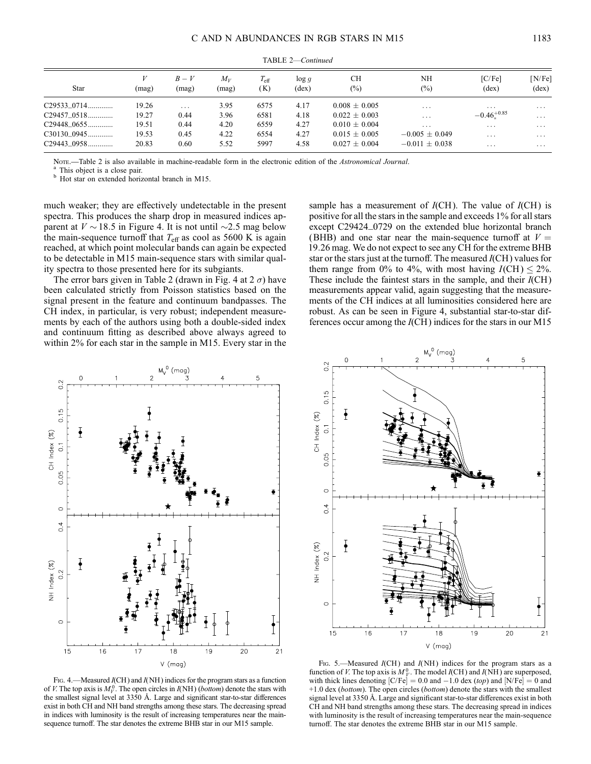| <b>Star</b>                   | (mag)          | $B-V$<br>(mag) | $M_V$<br>(mag) | $T_{\rm eff}$<br>(K) | log g<br>$(\text{dex})$ | <b>CH</b><br>$(\%)$                | NH<br>(%)                            | [ <b>C</b> /Fe]<br>$(\text{dex})$ | [N/Fe]<br>$(\text{dex})$ |
|-------------------------------|----------------|----------------|----------------|----------------------|-------------------------|------------------------------------|--------------------------------------|-----------------------------------|--------------------------|
| $C29533\_0714$                | 19.26          | $\cdots$       | 3.95           | 6575                 | 4.17                    | $0.008 + 0.005$                    | $\cdot$                              | .                                 | $\cdots$                 |
| $C29457\_0518$                | 19.27          | 0.44           | 3.96           | 6581                 | 4.18                    | $0.022 \pm 0.003$                  | $\cdot$                              | $-0.46^{+0.85}$                   | $\cdots$                 |
| C29448_0655                   | 19.51          | 0.44           | 4.20           | 6559                 | 4.27                    | $0.010 + 0.004$                    | .                                    | $\cdots$                          | $\cdots$                 |
| $C30130\_0945$<br>C29443_0958 | 19.53<br>20.83 | 0.45<br>0.60   | 4.22<br>5.52   | 6554<br>5997         | 4.27<br>4.58            | $0.015 + 0.005$<br>$0.027 + 0.004$ | $-0.005 + 0.049$<br>$-0.011 + 0.038$ | $\cdots$                          | $\cdots$                 |
|                               |                |                |                |                      |                         |                                    |                                      | .                                 | $\cdots$                 |

TABLE 2—Continued

Nore.—Table 2 is also available in machine-readable form in the electronic edition of the *Astronomical Journal*. <br><sup>a</sup> This object is a close pair.<br><sup>b</sup> Hot star on extended horizontal branch in M15.

much weaker; they are effectively undetectable in the present spectra. This produces the sharp drop in measured indices apparent at  $V \sim 18.5$  in Figure 4. It is not until  $\sim 2.5$  mag below the main-sequence turnoff that  $T_{\text{eff}}$  as cool as 5600 K is again reached, at which point molecular bands can again be expected to be detectable in M15 main-sequence stars with similar quality spectra to those presented here for its subgiants.

The error bars given in Table 2 (drawn in Fig. 4 at  $2 \sigma$ ) have been calculated strictly from Poisson statistics based on the signal present in the feature and continuum bandpasses. The CH index, in particular, is very robust; independent measurements by each of the authors using both a double-sided index and continuum fitting as described above always agreed to within 2% for each star in the sample in M15. Every star in the

sample has a measurement of  $I(CH)$ . The value of  $I(CH)$  is positive for all the stars in the sample and exceeds 1% for all stars except C29424\_0729 on the extended blue horizontal branch (BHB) and one star near the main-sequence turnoff at  $V =$ 19:26 mag. We do not expect to see any CH for the extreme BHB star or the stars just at the turnoff. The measured  $I(CH)$  values for them range from 0% to 4%, with most having  $I(CH) \le 2\%$ . These include the faintest stars in the sample, and their  $I(CH)$ measurements appear valid, again suggesting that the measurements of the CH indices at all luminosities considered here are robust. As can be seen in Figure 4, substantial star-to-star differences occur among the  $I(CH)$  indices for the stars in our M15



FIG. 4.—Measured  $I(CH)$  and  $I(NH)$  indices for the program stars as a function of V. The top axis is  $M_V^0$ . The open circles in  $I(NH)$  (bottom) denote the stars with the smallest signal level at 3350 Å. Large and significant star-to-star differences exist in both CH and NH band strengths among these stars. The decreasing spread in indices with luminosity is the result of increasing temperatures near the mainsequence turnoff. The star denotes the extreme BHB star in our M15 sample.



FIG. 5.—Measured  $I(CH)$  and  $I(NH)$  indices for the program stars as a function of V. The top axis is  $M_V^0$ . The model I(CH) and I(NH) are superposed, with thick lines denoting  $[C/Fe] = 0.0$  and  $-1.0$  dex (top) and  $[N/Fe] = 0$  and +1.0 dex (bottom). The open circles (bottom) denote the stars with the smallest signal level at 3350 Å. Large and significant star-to-star differences exist in both CH and NH band strengths among these stars. The decreasing spread in indices with luminosity is the result of increasing temperatures near the main-sequence turnoff. The star denotes the extreme BHB star in our M15 sample.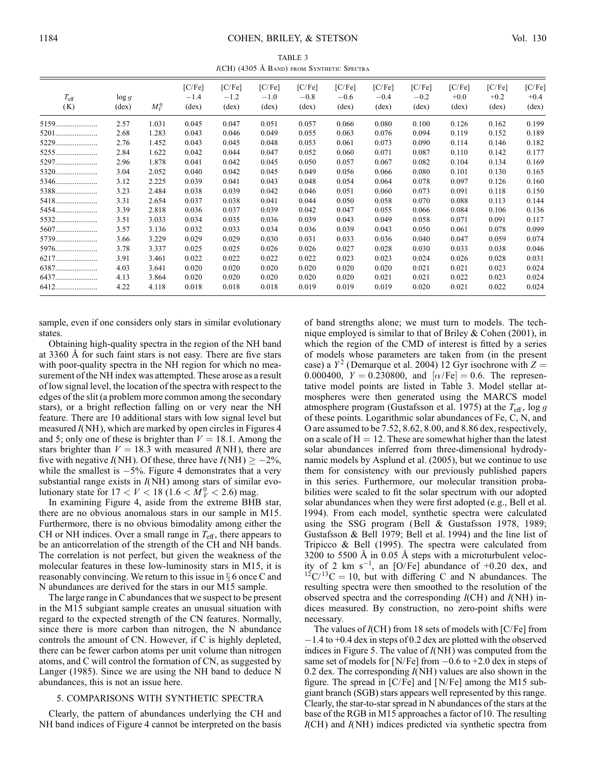TABLE 3 I(CH) (4305 Å BAND) FROM SYNTHETIC SPECTRA

| $T_{\rm eff}$<br>(K) | $\log g$<br>$(\text{dex})$ | $M_V^0$ | [C/Fe]<br>$-1.4$<br>$(\text{dex})$ | [C/Fe]<br>$-1.2$<br>$(\text{dex})$ | [C/Fe]<br>$-1.0$<br>$(\text{dex})$ | [C/Fe]<br>$-0.8$<br>$(\text{dex})$ | $[CP$ $CP$ $CP$ $CP$ $CP$ $CP$ $CP$ $CP$ $CP$ $CP$ $CP$ $CP$ $CP$ $CP$ $CP$ $CP$ $CP$ $CP$ $CP$ $CP$ $CP$ $CP$ $CP$ $CP$<br>$-0.6$<br>$(\text{dex})$ | [C/Fe]<br>$-0.4$<br>$(\text{dex})$ | [C/Fe]<br>$-0.2$<br>$(\text{dex})$ | [C/Fe]<br>$+0.0$<br>$(\text{dex})$ | $[CP$ $CP$ $CP$ $CP$ $CP$ $CP$ $CP$ $CP$ $CP$ $CP$ $CP$ $CP$ $CP$ $CP$ $CP$ $CP$ $CP$ $CP$ $CP$ $CP$ $CP$ $CP$ $CP$ $CP$<br>$+0.2$<br>$(\text{dex})$ | [C/Fe]<br>$+0.4$<br>$(\text{dex})$ |
|----------------------|----------------------------|---------|------------------------------------|------------------------------------|------------------------------------|------------------------------------|------------------------------------------------------------------------------------------------------------------------------------------------------|------------------------------------|------------------------------------|------------------------------------|------------------------------------------------------------------------------------------------------------------------------------------------------|------------------------------------|
|                      | 2.57                       | 1.031   | 0.045                              | 0.047                              | 0.051                              | 0.057                              | 0.066                                                                                                                                                | 0.080                              | 0.100                              | 0.126                              | 0.162                                                                                                                                                | 0.199                              |
| 5201                 | 2.68                       | 1.283   | 0.043                              | 0.046                              | 0.049                              | 0.055                              | 0.063                                                                                                                                                | 0.076                              | 0.094                              | 0.119                              | 0.152                                                                                                                                                | 0.189                              |
| 5229                 | 2.76                       | 1.452   | 0.043                              | 0.045                              | 0.048                              | 0.053                              | 0.061                                                                                                                                                | 0.073                              | 0.090                              | 0.114                              | 0.146                                                                                                                                                | 0.182                              |
|                      | 2.84                       | 1.622   | 0.042                              | 0.044                              | 0.047                              | 0.052                              | 0.060                                                                                                                                                | 0.071                              | 0.087                              | 0.110                              | 0.142                                                                                                                                                | 0.177                              |
| 5297                 | 2.96                       | 1.878   | 0.041                              | 0.042                              | 0.045                              | 0.050                              | 0.057                                                                                                                                                | 0.067                              | 0.082                              | 0.104                              | 0.134                                                                                                                                                | 0.169                              |
| 5320                 | 3.04                       | 2.052   | 0.040                              | 0.042                              | 0.045                              | 0.049                              | 0.056                                                                                                                                                | 0.066                              | 0.080                              | 0.101                              | 0.130                                                                                                                                                | 0.165                              |
| 5346                 | 3.12                       | 2.225   | 0.039                              | 0.041                              | 0.043                              | 0.048                              | 0.054                                                                                                                                                | 0.064                              | 0.078                              | 0.097                              | 0.126                                                                                                                                                | 0.160                              |
| 5388                 | 3.23                       | 2.484   | 0.038                              | 0.039                              | 0.042                              | 0.046                              | 0.051                                                                                                                                                | 0.060                              | 0.073                              | 0.091                              | 0.118                                                                                                                                                | 0.150                              |
| 5418                 | 3.31                       | 2.654   | 0.037                              | 0.038                              | 0.041                              | 0.044                              | 0.050                                                                                                                                                | 0.058                              | 0.070                              | 0.088                              | 0.113                                                                                                                                                | 0.144                              |
| 5454                 | 3.39                       | 2.818   | 0.036                              | 0.037                              | 0.039                              | 0.042                              | 0.047                                                                                                                                                | 0.055                              | 0.066                              | 0.084                              | 0.106                                                                                                                                                | 0.136                              |
| 5532                 | 3.51                       | 3.033   | 0.034                              | 0.035                              | 0.036                              | 0.039                              | 0.043                                                                                                                                                | 0.049                              | 0.058                              | 0.071                              | 0.091                                                                                                                                                | 0.117                              |
| 5607                 | 3.57                       | 3.136   | 0.032                              | 0.033                              | 0.034                              | 0.036                              | 0.039                                                                                                                                                | 0.043                              | 0.050                              | 0.061                              | 0.078                                                                                                                                                | 0.099                              |
| 5739                 | 3.66                       | 3.229   | 0.029                              | 0.029                              | 0.030                              | 0.031                              | 0.033                                                                                                                                                | 0.036                              | 0.040                              | 0.047                              | 0.059                                                                                                                                                | 0.074                              |
| 5976                 | 3.78                       | 3.337   | 0.025                              | 0.025                              | 0.026                              | 0.026                              | 0.027                                                                                                                                                | 0.028                              | 0.030                              | 0.033                              | 0.038                                                                                                                                                | 0.046                              |
|                      | 3.91                       | 3.461   | 0.022                              | 0.022                              | 0.022                              | 0.022                              | 0.023                                                                                                                                                | 0.023                              | 0.024                              | 0.026                              | 0.028                                                                                                                                                | 0.031                              |
| 6387                 | 4.03                       | 3.641   | 0.020                              | 0.020                              | 0.020                              | 0.020                              | 0.020                                                                                                                                                | 0.020                              | 0.021                              | 0.021                              | 0.023                                                                                                                                                | 0.024                              |
| 6437                 | 4.13                       | 3.864   | 0.020                              | 0.020                              | 0.020                              | 0.020                              | 0.020                                                                                                                                                | 0.021                              | 0.021                              | 0.022                              | 0.023                                                                                                                                                | 0.024                              |
| 6412                 | 4.22                       | 4.118   | 0.018                              | 0.018                              | 0.018                              | 0.019                              | 0.019                                                                                                                                                | 0.019                              | 0.020                              | 0.021                              | 0.022                                                                                                                                                | 0.024                              |

sample, even if one considers only stars in similar evolutionary states.

Obtaining high-quality spectra in the region of the NH band at 3360 Å for such faint stars is not easy. There are five stars with poor-quality spectra in the NH region for which no measurement of the NH index was attempted. These arose as a result of low signal level, the location of the spectra with respect to the edges of the slit (a problem more common among the secondary stars), or a bright reflection falling on or very near the NH feature. There are 10 additional stars with low signal level but measured  $I(NH)$ , which are marked by open circles in Figures 4 and 5; only one of these is brighter than  $V = 18.1$ . Among the stars brighter than  $V = 18.3$  with measured  $I(NH)$ , there are five with negative  $I(NH)$ . Of these, three have  $I(NH) \ge -2\%,$ while the smallest is  $-5\%$ . Figure 4 demonstrates that a very substantial range exists in  $I(NH)$  among stars of similar evolutionary state for  $17 < V < 18$  ( $1.6 < M_V^0 < 2.6$ ) mag.

In examining Figure 4, aside from the extreme BHB star, there are no obvious anomalous stars in our sample in M15. Furthermore, there is no obvious bimodality among either the CH or NH indices. Over a small range in  $T_{\text{eff}}$ , there appears to be an anticorrelation of the strength of the CH and NH bands. The correlation is not perfect, but given the weakness of the molecular features in these low-luminosity stars in M15, it is reasonably convincing. We return to this issue in  $\S$  6 once C and N abundances are derived for the stars in our M15 sample.

The large range in C abundances that we suspect to be present in the M15 subgiant sample creates an unusual situation with regard to the expected strength of the CN features. Normally, since there is more carbon than nitrogen, the N abundance controls the amount of CN. However, if C is highly depleted, there can be fewer carbon atoms per unit volume than nitrogen atoms, and C will control the formation of CN, as suggested by Langer (1985). Since we are using the NH band to deduce N abundances, this is not an issue here.

### 5. COMPARISONS WITH SYNTHETIC SPECTRA

Clearly, the pattern of abundances underlying the CH and NH band indices of Figure 4 cannot be interpreted on the basis

of band strengths alone; we must turn to models. The technique employed is similar to that of Briley & Cohen (2001), in which the region of the CMD of interest is fitted by a series of models whose parameters are taken from (in the present case) a  $Y^2$  (Demarque et al. 2004) 12 Gyr isochrone with  $Z =$ 0.000400,  $Y = 0.230800$ , and  $\alpha/Fe$  = 0.6. The representative model points are listed in Table 3. Model stellar atmospheres were then generated using the MARCS model atmosphere program (Gustafsson et al. 1975) at the  $T_{\text{eff}}$ , log g of these points. Logarithmic solar abundances of Fe, C, N, and O are assumed to be 7.52, 8.62, 8.00, and 8.86 dex, respectively, on a scale of  $H = 12$ . These are somewhat higher than the latest solar abundances inferred from three-dimensional hydrodynamic models by Asplund et al. (2005), but we continue to use them for consistency with our previously published papers in this series. Furthermore, our molecular transition probabilities were scaled to fit the solar spectrum with our adopted solar abundances when they were first adopted (e.g., Bell et al. 1994). From each model, synthetic spectra were calculated using the SSG program (Bell & Gustafsson 1978, 1989; Gustafsson & Bell 1979; Bell et al. 1994) and the line list of Tripicco & Bell (1995). The spectra were calculated from  $3200$  to  $5500$  Å in 0.05 Å steps with a microturbulent velocity of 2 km  $s^{-1}$ , an [O/Fe] abundance of +0.20 dex, and  $12C/13C = 10$ , but with differing C and N abundances. The resulting spectra were then smoothed to the resolution of the observed spectra and the corresponding  $I(CH)$  and  $I(NH)$  indices measured. By construction, no zero-point shifts were necessary.

The values of  $I(CH)$  from 18 sets of models with  $[C/Fe]$  from -1.4 to +0.4 dex in steps of 0.2 dex are plotted with the observed indices in Figure 5. The value of  $I(NH)$  was computed from the same set of models for [N/Fe] from -0.6 to +2.0 dex in steps of 0.2 dex. The corresponding  $I(NH)$  values are also shown in the figure. The spread in [C/Fe] and [N/Fe] among the M15 subgiant branch (SGB) stars appears well represented by this range. Clearly, the star-to-star spread in N abundances of the stars at the base of the RGB in M15 approaches a factor of 10. The resulting  $I(CH)$  and  $I(NH)$  indices predicted via synthetic spectra from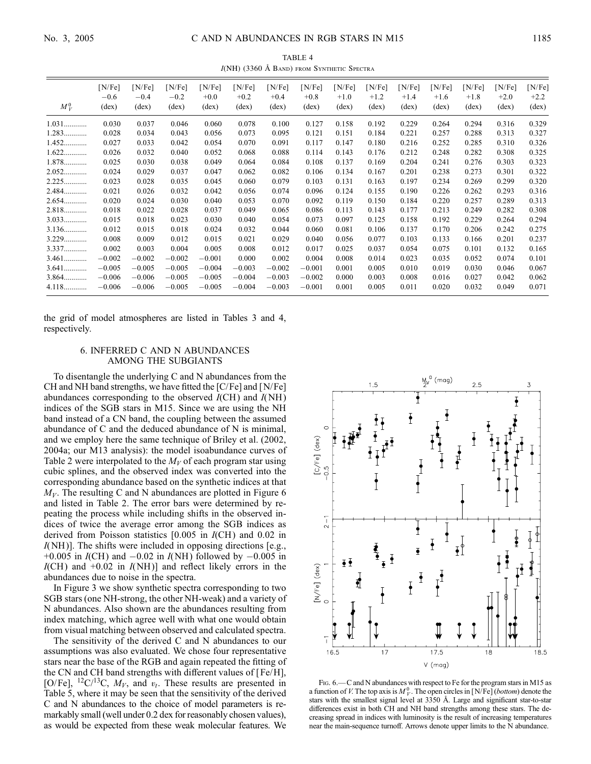TABLE 4  $I(NH)$  (3360 Å BAND) FROM SYNTHETIC SPECTRA

| $M_V^0$ | [N/Fe]<br>$-0.6$<br>$(\text{dex})$ | [N/Fe]<br>$-0.4$<br>$(\text{dex})$ | [N/Fe]<br>$-0.2$<br>$(\text{dex})$ | [N/Fe]<br>$+0.0$<br>$(\text{dex})$ | [N/Fe]<br>$+0.2$<br>$(\text{dex})$ | [N/Fe]<br>$+0.4$<br>$(\text{dex})$ | [N/Fe]<br>$+0.8$<br>$(\text{dex})$ | [N/Fe]<br>$+1.0$<br>$(\text{dex})$ | [N/Fe]<br>$+1.2$<br>$(\text{dex})$ | N/Fel<br>$+1.4$<br>$(\text{dex})$ | [N/Fe]<br>$+1.6$<br>$(\text{dex})$ | [N/Fe]<br>$+1.8$<br>$(\text{dex})$ | [N/Fe]<br>$+2.0$<br>$(\text{dex})$ | [N/Fe]<br>$+2.2$<br>$(\text{dex})$ |
|---------|------------------------------------|------------------------------------|------------------------------------|------------------------------------|------------------------------------|------------------------------------|------------------------------------|------------------------------------|------------------------------------|-----------------------------------|------------------------------------|------------------------------------|------------------------------------|------------------------------------|
| $1.031$ | 0.030                              | 0.037                              | 0.046                              | 0.060                              | 0.078                              | 0.100                              | 0.127                              | 0.158                              | 0.192                              | 0.229                             | 0.264                              | 0.294                              | 0.316                              | 0.329                              |
| $1.283$ | 0.028                              | 0.034                              | 0.043                              | 0.056                              | 0.073                              | 0.095                              | 0.121                              | 0.151                              | 0.184                              |                                   | 0.257                              | 0.288                              |                                    |                                    |
|         |                                    |                                    |                                    |                                    |                                    |                                    |                                    |                                    |                                    | 0.221                             |                                    |                                    | 0.313                              | 0.327                              |
| 1.452   | 0.027                              | 0.033                              | 0.042                              | 0.054                              | 0.070                              | 0.091                              | 0.117                              | 0.147                              | 0.180                              | 0.216                             | 0.252                              | 0.285                              | 0.310                              | 0.326                              |
| $1.622$ | 0.026                              | 0.032                              | 0.040                              | 0.052                              | 0.068                              | 0.088                              | 0.114                              | 0.143                              | 0.176                              | 0.212                             | 0.248                              | 0.282                              | 0.308                              | 0.325                              |
| 1.878   | 0.025                              | 0.030                              | 0.038                              | 0.049                              | 0.064                              | 0.084                              | 0.108                              | 0.137                              | 0.169                              | 0.204                             | 0.241                              | 0.276                              | 0.303                              | 0.323                              |
| $2.052$ | 0.024                              | 0.029                              | 0.037                              | 0.047                              | 0.062                              | 0.082                              | 0.106                              | 0.134                              | 0.167                              | 0.201                             | 0.238                              | 0.273                              | 0.301                              | 0.322                              |
| $2.225$ | 0.023                              | 0.028                              | 0.035                              | 0.045                              | 0.060                              | 0.079                              | 0.103                              | 0.131                              | 0.163                              | 0.197                             | 0.234                              | 0.269                              | 0.299                              | 0.320                              |
| 2.484   | 0.021                              | 0.026                              | 0.032                              | 0.042                              | 0.056                              | 0.074                              | 0.096                              | 0.124                              | 0.155                              | 0.190                             | 0.226                              | 0.262                              | 0.293                              | 0.316                              |
| 2.654   | 0.020                              | 0.024                              | 0.030                              | 0.040                              | 0.053                              | 0.070                              | 0.092                              | 0.119                              | 0.150                              | 0.184                             | 0.220                              | 0.257                              | 0.289                              | 0.313                              |
| 2.818   | 0.018                              | 0.022                              | 0.028                              | 0.037                              | 0.049                              | 0.065                              | 0.086                              | 0.113                              | 0.143                              | 0.177                             | 0.213                              | 0.249                              | 0.282                              | 0.308                              |
| $3.033$ | 0.015                              | 0.018                              | 0.023                              | 0.030                              | 0.040                              | 0.054                              | 0.073                              | 0.097                              | 0.125                              | 0.158                             | 0.192                              | 0.229                              | 0.264                              | 0.294                              |
| $3.136$ | 0.012                              | 0.015                              | 0.018                              | 0.024                              | 0.032                              | 0.044                              | 0.060                              | 0.081                              | 0.106                              | 0.137                             | 0.170                              | 0.206                              | 0.242                              | 0.275                              |
| $3.229$ | 0.008                              | 0.009                              | 0.012                              | 0.015                              | 0.021                              | 0.029                              | 0.040                              | 0.056                              | 0.077                              | 0.103                             | 0.133                              | 0.166                              | 0.201                              | 0.237                              |
| 3.337   | 0.002                              | 0.003                              | 0.004                              | 0.005                              | 0.008                              | 0.012                              | 0.017                              | 0.025                              | 0.037                              | 0.054                             | 0.075                              | 0.101                              | 0.132                              | 0.165                              |
| $3.461$ | $-0.002$                           | $-0.002$                           | $-0.002$                           | $-0.001$                           | 0.000                              | 0.002                              | 0.004                              | 0.008                              | 0.014                              | 0.023                             | 0.035                              | 0.052                              | 0.074                              | 0.101                              |
| $3.641$ | $-0.005$                           | $-0.005$                           | $-0.005$                           | $-0.004$                           | $-0.003$                           | $-0.002$                           | $-0.001$                           | 0.001                              | 0.005                              | 0.010                             | 0.019                              | 0.030                              | 0.046                              | 0.067                              |
| $3.864$ | $-0.006$                           | $-0.006$                           | $-0.005$                           | $-0.005$                           | $-0.004$                           | $-0.003$                           | $-0.002$                           | 0.000                              | 0.003                              | 0.008                             | 0.016                              | 0.027                              | 0.042                              | 0.062                              |
| $4.118$ | $-0.006$                           | $-0.006$                           | $-0.005$                           | $-0.005$                           | $-0.004$                           | $-0.003$                           | $-0.001$                           | 0.001                              | 0.005                              | 0.011                             | 0.020                              | 0.032                              | 0.049                              | 0.071                              |

the grid of model atmospheres are listed in Tables 3 and 4, respectively.

## 6. INFERRED C AND N ABUNDANCES AMONG THE SUBGIANTS

To disentangle the underlying C and N abundances from the CH and NH band strengths, we have fitted the [C/Fe] and [N/Fe] abundances corresponding to the observed  $I(CH)$  and  $I(NH)$ indices of the SGB stars in M15. Since we are using the NH band instead of a CN band, the coupling between the assumed abundance of C and the deduced abundance of N is minimal, and we employ here the same technique of Briley et al. (2002, 2004a; our M13 analysis): the model isoabundance curves of Table 2 were interpolated to the  $M_V$  of each program star using cubic splines, and the observed index was converted into the corresponding abundance based on the synthetic indices at that  $M_V$ . The resulting C and N abundances are plotted in Figure 6 and listed in Table 2. The error bars were determined by repeating the process while including shifts in the observed indices of twice the average error among the SGB indices as derived from Poisson statistics  $[0.005$  in  $I(CH)$  and 0.02 in  $I(NH)$ ]. The shifts were included in opposing directions [e.g., +0.005 in  $I(CH)$  and  $-0.02$  in  $I(NH)$  followed by  $-0.005$  in  $I(CH)$  and +0.02 in  $I(NH)$ ] and reflect likely errors in the abundances due to noise in the spectra.

In Figure 3 we show synthetic spectra corresponding to two SGB stars (one NH-strong, the other NH-weak) and a variety of N abundances. Also shown are the abundances resulting from index matching, which agree well with what one would obtain from visual matching between observed and calculated spectra.

The sensitivity of the derived C and N abundances to our assumptions was also evaluated. We chose four representative stars near the base of the RGB and again repeated the fitting of the CN and CH band strengths with different values of [ Fe/H], [O/Fe], <sup>12</sup>C/<sup>13</sup>C,  $M_V$ , and  $v_t$ . These results are presented in Table 5, where it may be seen that the sensitivity of the derived C and N abundances to the choice of model parameters is remarkably small (well under 0.2 dex for reasonably chosen values), as would be expected from these weak molecular features. We



F<sub>IG</sub>. 6.—C and N abundances with respect to Fe for the program stars in M<sub>15</sub> as a function of V. The top axis is  $M_V^0$ . The open circles in [N/Fe] (*bottom*) denote the stars with the smallest signal level at 3350 Å. Large and significant star-to-star differences exist in both CH and NH band strengths among these stars. The decreasing spread in indices with luminosity is the result of increasing temperatures near the main-sequence turnoff. Arrows denote upper limits to the N abundance.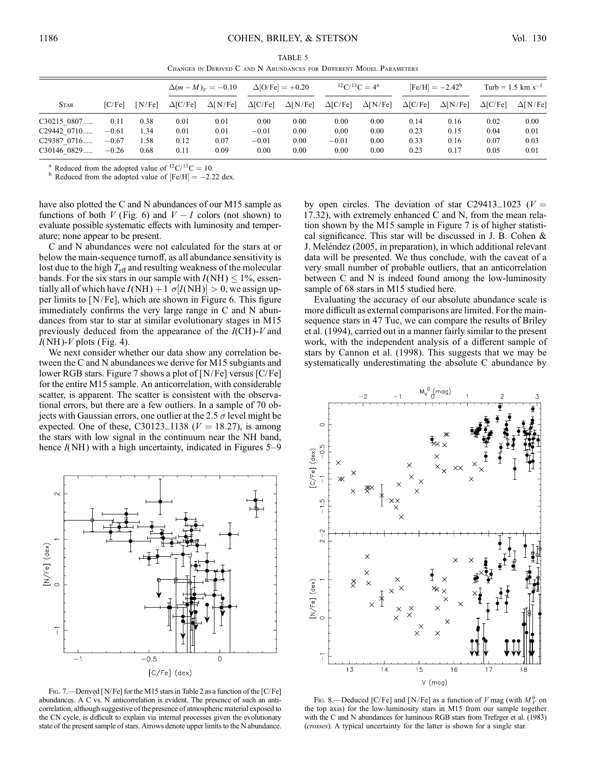TABLE 5 Changes in Derived C and N Abundances for Different Model Parameters

|                                                                      |                                       |                              |                              | $\Delta (m-M)_V = -0.10$     | $\Delta$ [O/Fe] = +0.20            |                              | ${}^{12}C/{}^{13}C = 4^a$       |                              | $[Fe/H] = -2.42^b$           |                              | Turb = $1.5$ km s <sup>-1</sup> |                              |
|----------------------------------------------------------------------|---------------------------------------|------------------------------|------------------------------|------------------------------|------------------------------------|------------------------------|---------------------------------|------------------------------|------------------------------|------------------------------|---------------------------------|------------------------------|
| <b>STAR</b>                                                          | IC/Fe                                 | [N/Fe]                       | $\Delta$ [C/Fe]              | $\Delta$ [N/Fe]              | $\Delta$ [C/Fe]                    | $\Delta$ [N/Fe]              | $\Delta$ [C/Fe]                 | $\Delta$ [N/Fe]              | $\Delta$ [C/Fe]              | $\Delta$ [N/Fe]              | $\Delta$ <sub>[C</sub> Fe]      | $\Delta$ [N/Fe]              |
| C30215 0807<br>C <sub>29442</sub> 0710<br>C29387 0716<br>C30146 0829 | 0.11<br>$-0.61$<br>$-0.67$<br>$-0.26$ | 0.38<br>1.34<br>1.58<br>0.68 | 0.01<br>0.01<br>0.12<br>0.11 | 0.01<br>0.01<br>0.07<br>0.09 | 0.00<br>$-0.01$<br>$-0.01$<br>0.00 | 0.00<br>0.00<br>0.00<br>0.00 | 0.00<br>0.00<br>$-0.01$<br>0.00 | 0.00<br>0.00<br>0.00<br>0.00 | 0.14<br>0.23<br>0.33<br>0.23 | 0.16<br>0.15<br>0.16<br>0.17 | 0.02<br>0.04<br>0.07<br>0.05    | 0.00<br>0.01<br>0.03<br>0.01 |

<sup>a</sup> Reduced from the adopted value of <sup>12</sup>C/<sup>13</sup>C = 10.<br><sup>b</sup> Reduced from the adopted value of [Fe/H] = -2.22 dex.

have also plotted the C and N abundances of our M15 sample as functions of both  $V$  (Fig. 6) and  $V - I$  colors (not shown) to evaluate possible systematic effects with luminosity and temperature; none appear to be present.

C and N abundances were not calculated for the stars at or below the main-sequence turnoff, as all abundance sensitivity is lost due to the high  $T_{\text{eff}}$  and resulting weakness of the molecular bands. For the six stars in our sample with  $I(NH) \le 1\%$ , essentially all of which have  $I(NH) + 1 \sigma[I(NH)] > 0$ , we assign upper limits to [N/Fe], which are shown in Figure 6. This figure immediately confirms the very large range in C and N abundances from star to star at similar evolutionary stages in M15 previously deduced from the appearance of the  $I(CH)$ -V and  $I(NH)$ - $V$  plots (Fig. 4).

We next consider whether our data show any correlation between the C and N abundances we derive for M15 subgiants and lower RGB stars. Figure 7 shows a plot of [N/Fe] versus [C/Fe] for the entire M15 sample. An anticorrelation, with considerable scatter, is apparent. The scatter is consistent with the observational errors, but there are a few outliers. In a sample of 70 objects with Gaussian errors, one outlier at the 2.5  $\sigma$  level might be expected. One of these, C30123\_1138 ( $V = 18.27$ ), is among the stars with low signal in the continuum near the NH band, hence  $I(NH)$  with a high uncertainty, indicated in Figures 5–9



FIG. 7.—Derived [N/Fe] for the M15 stars in Table 2 as a function of the [C/Fe] abundances. A C vs. N anticorrelation is evident. The presence of such an anticorrelation, although suggestive of the presence of atmospheric material exposed to the CN cycle, is difficult to explain via internal processes given the evolutionary state of the present sample of stars. Arrows denote upper limits to the N abundance.

by open circles. The deviation of star C29413\_1023 ( $V =$ 17:32), with extremely enhanced C and N, from the mean relation shown by the M15 sample in Figure 7 is of higher statistical significance. This star will be discussed in J. B. Cohen & J. Meléndez (2005, in preparation), in which additional relevant data will be presented. We thus conclude, with the caveat of a very small number of probable outliers, that an anticorrelation between C and N is indeed found among the low-luminosity sample of 68 stars in M15 studied here.

Evaluating the accuracy of our absolute abundance scale is more difficult as external comparisons are limited. For the mainsequence stars in 47 Tuc, we can compare the results of Briley et al. (1994), carried out in a manner fairly similar to the present work, with the independent analysis of a different sample of stars by Cannon et al. (1998). This suggests that we may be systematically underestimating the absolute C abundance by



FIG. 8.—Deduced [C/Fe] and [N/Fe] as a function of V mag (with  $M_V^0$  on the top axis) for the low-luminosity stars in M15 from our sample together with the C and N abundances for luminous RGB stars from Trefzger et al. (1983) (crosses). A typical uncertainty for the latter is shown for a single star.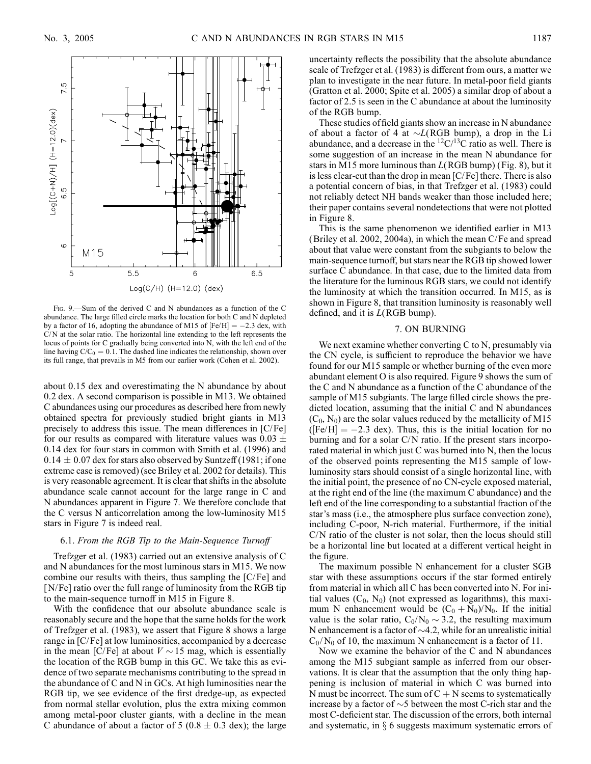

Fig. 9.—Sum of the derived C and N abundances as a function of the C abundance. The large filled circle marks the location for both C and N depleted by a factor of 16, adopting the abundance of M15 of  $[Fe/H] = -2.3$  dex, with  $C/N$  at the solar ratio. The horizontal line extending to the left represents the locus of points for C gradually being converted into N, with the left end of the line having  $C/C_0 = 0.1$ . The dashed line indicates the relationship, shown over its full range, that prevails in M5 from our earlier work (Cohen et al. 2002).

about 0.15 dex and overestimating the N abundance by about 0.2 dex. A second comparison is possible in M13. We obtained C abundances using our procedures as described here from newly obtained spectra for previously studied bright giants in M13 precisely to address this issue. The mean differences in [C/Fe] for our results as compared with literature values was  $0.03 \pm$ 0:14 dex for four stars in common with Smith et al. (1996) and  $0.14 \pm 0.07$  dex for stars also observed by Suntzeff (1981; if one extreme case is removed) (see Briley et al. 2002 for details). This is very reasonable agreement. It is clear that shifts in the absolute abundance scale cannot account for the large range in C and N abundances apparent in Figure 7. We therefore conclude that the C versus N anticorrelation among the low-luminosity M15 stars in Figure 7 is indeed real.

## 6.1. From the RGB Tip to the Main-Sequence Turnoff

Trefzger et al. (1983) carried out an extensive analysis of C and N abundances for the most luminous stars in M15. We now combine our results with theirs, thus sampling the  $[C/Fe]$  and [N/Fe] ratio over the full range of luminosity from the RGB tip to the main-sequence turnoff in M15 in Figure 8.

With the confidence that our absolute abundance scale is reasonably secure and the hope that the same holds for the work of Trefzger et al. (1983), we assert that Figure 8 shows a large range in [C/Fe] at low luminosities, accompanied by a decrease in the mean [C/Fe] at about  $V \sim 15$  mag, which is essentially the location of the RGB bump in this GC. We take this as evidence of two separate mechanisms contributing to the spread in the abundance of C and N in GCs. At high luminosities near the RGB tip, we see evidence of the first dredge-up, as expected from normal stellar evolution, plus the extra mixing common among metal-poor cluster giants, with a decline in the mean C abundance of about a factor of 5 (0.8  $\pm$  0.3 dex); the large uncertainty reflects the possibility that the absolute abundance scale of Trefzger et al. (1983) is different from ours, a matter we plan to investigate in the near future. In metal-poor field giants (Gratton et al. 2000; Spite et al. 2005) a similar drop of about a factor of 2.5 is seen in the C abundance at about the luminosity of the RGB bump.

These studies of field giants show an increase in N abundance of about a factor of 4 at  $\sim L(RGB \text{ bump})$ , a drop in the Li abundance, and a decrease in the  ${}^{12}C/{}^{13}C$  ratio as well. There is some suggestion of an increase in the mean N abundance for stars in M15 more luminous than  $L(RGB~bump)$  (Fig. 8), but it is less clear-cut than the drop in mean [C/Fe] there. There is also a potential concern of bias, in that Trefzger et al. (1983) could not reliably detect NH bands weaker than those included here; their paper contains several nondetections that were not plotted in Figure 8.

This is the same phenomenon we identified earlier in M13 (Briley et al. 2002, 2004a), in which the mean C/ Fe and spread about that value were constant from the subgiants to below the main-sequence turnoff, but stars near the RGB tip showed lower surface C abundance. In that case, due to the limited data from the literature for the luminous RGB stars, we could not identify the luminosity at which the transition occurred. In M15, as is shown in Figure 8, that transition luminosity is reasonably well defined, and it is  $L(RGB~bump)$ .

### 7. ON BURNING

We next examine whether converting C to N, presumably via the CN cycle, is sufficient to reproduce the behavior we have found for our M15 sample or whether burning of the even more abundant element O is also required. Figure 9 shows the sum of the C and N abundance as a function of the C abundance of the sample of M15 subgiants. The large filled circle shows the predicted location, assuming that the initial C and N abundances  $(C_0, N_0)$  are the solar values reduced by the metallicity of M15  $(Fe/H] = -2.3$  dex). Thus, this is the initial location for no burning and for a solar C/N ratio. If the present stars incorporated material in which just C was burned into N, then the locus of the observed points representing the M15 sample of lowluminosity stars should consist of a single horizontal line, with the initial point, the presence of no CN-cycle exposed material, at the right end of the line (the maximum C abundance) and the left end of the line corresponding to a substantial fraction of the star's mass (i.e., the atmosphere plus surface convection zone), including C-poor, N-rich material. Furthermore, if the initial C/N ratio of the cluster is not solar, then the locus should still be a horizontal line but located at a different vertical height in the figure.

The maximum possible N enhancement for a cluster SGB star with these assumptions occurs if the star formed entirely from material in which all C has been converted into N. For initial values  $(C_0, N_0)$  (not expressed as logarithms), this maximum N enhancement would be  $(C_0 + N_0)/N_0$ . If the initial value is the solar ratio,  $C_0/N_0 \sim 3.2$ , the resulting maximum N enhancement is a factor of  $\sim$  4.2, while for an unrealistic initial  $C_0/N_0$  of 10, the maximum N enhancement is a factor of 11.

Now we examine the behavior of the C and N abundances among the M15 subgiant sample as inferred from our observations. It is clear that the assumption that the only thing happening is inclusion of material in which C was burned into N must be incorrect. The sum of  $C + N$  seems to systematically increase by a factor of  $\sim$  5 between the most C-rich star and the most C-deficient star. The discussion of the errors, both internal and systematic, in  $\S$  6 suggests maximum systematic errors of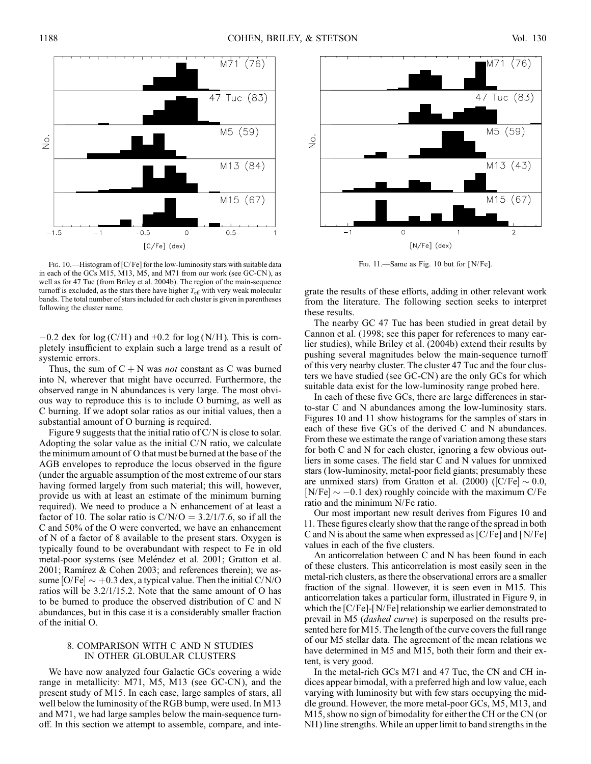

FIG. 10.—Histogram of [C/Fe] for the low-luminosity stars with suitable data in each of the GCs M15, M13, M5, and M71 from our work (see GC-CN ), as well as for 47 Tuc (from Briley et al. 2004b). The region of the main-sequence turnoff is excluded, as the stars there have higher  $T_{\text{eff}}$  with very weak molecular bands. The total number of stars included for each cluster is given in parentheses following the cluster name.

 $-0.2$  dex for log (C/H) and  $+0.2$  for log (N/H). This is completely insufficient to explain such a large trend as a result of systemic errors.

Thus, the sum of  $C + N$  was *not* constant as C was burned into N, wherever that might have occurred. Furthermore, the observed range in N abundances is very large. The most obvious way to reproduce this is to include O burning, as well as C burning. If we adopt solar ratios as our initial values, then a substantial amount of O burning is required.

Figure 9 suggests that the initial ratio of C/N is close to solar. Adopting the solar value as the initial C/N ratio, we calculate the minimum amount of O that must be burned at the base of the AGB envelopes to reproduce the locus observed in the figure (under the arguable assumption of the most extreme of our stars having formed largely from such material; this will, however, provide us with at least an estimate of the minimum burning required). We need to produce a N enhancement of at least a factor of 10. The solar ratio is  $C/N/O = 3.2/1/7.6$ , so if all the C and 50% of the O were converted, we have an enhancement of N of a factor of 8 available to the present stars. Oxygen is typically found to be overabundant with respect to Fe in old metal-poor systems (see Meléndez et al. 2001; Gratton et al. 2001; Ramírez & Cohen 2003; and references therein); we assume  $[O/Fe] \sim +0.3$  dex, a typical value. Then the initial C/N/O ratios will be 3.2/1/15.2. Note that the same amount of O has to be burned to produce the observed distribution of C and N abundances, but in this case it is a considerably smaller fraction of the initial O.

## 8. COMPARISON WITH C AND N STUDIES IN OTHER GLOBULAR CLUSTERS

We have now analyzed four Galactic GCs covering a wide range in metallicity: M71, M5, M13 (see GC-CN ), and the present study of M15. In each case, large samples of stars, all well below the luminosity of the RGB bump, were used. In M13 and M71, we had large samples below the main-sequence turnoff. In this section we attempt to assemble, compare, and inte-



FIG. 11.-Same as Fig. 10 but for [N/Fe].

grate the results of these efforts, adding in other relevant work from the literature. The following section seeks to interpret these results.

The nearby GC 47 Tuc has been studied in great detail by Cannon et al. (1998; see this paper for references to many earlier studies), while Briley et al. (2004b) extend their results by pushing several magnitudes below the main-sequence turnoff of this very nearby cluster. The cluster 47 Tuc and the four clusters we have studied (see GC-CN ) are the only GCs for which suitable data exist for the low-luminosity range probed here.

In each of these five GCs, there are large differences in starto-star C and N abundances among the low-luminosity stars. Figures 10 and 11 show histograms for the samples of stars in each of these five GCs of the derived C and N abundances. From these we estimate the range of variation among these stars for both C and N for each cluster, ignoring a few obvious outliers in some cases. The field star C and N values for unmixed stars (low-luminosity, metal-poor field giants; presumably these are unmixed stars) from Gratton et al. (2000) ( $|C/Fe| \sim 0.0$ ,  $[N/Fe] \sim -0.1$  dex) roughly coincide with the maximum C/Fe ratio and the minimum N/Fe ratio.

Our most important new result derives from Figures 10 and 11. These figures clearly show that the range of the spread in both C and N is about the same when expressed as [C/Fe] and [N/Fe] values in each of the five clusters.

An anticorrelation between C and N has been found in each of these clusters. This anticorrelation is most easily seen in the metal-rich clusters, as there the observational errors are a smaller fraction of the signal. However, it is seen even in M15. This anticorrelation takes a particular form, illustrated in Figure 9, in which the [C/Fe]-[N/Fe] relationship we earlier demonstrated to prevail in M5 (dashed curve) is superposed on the results presented here for M15. The length of the curve covers the full range of our M5 stellar data. The agreement of the mean relations we have determined in M5 and M15, both their form and their extent, is very good.

In the metal-rich GCs M71 and 47 Tuc, the CN and CH indices appear bimodal, with a preferred high and low value, each varying with luminosity but with few stars occupying the middle ground. However, the more metal-poor GCs, M5, M13, and M15, show no sign of bimodality for either the CH or the CN (or NH) line strengths. While an upper limit to band strengths in the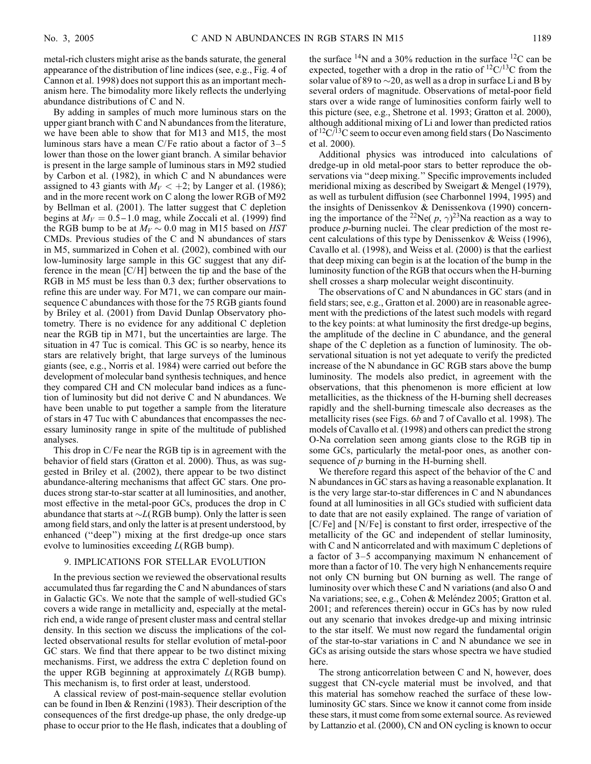metal-rich clusters might arise as the bands saturate, the general appearance of the distribution of line indices (see, e.g., Fig. 4 of Cannon et al. 1998) does not support this as an important mechanism here. The bimodality more likely reflects the underlying abundance distributions of C and N.

By adding in samples of much more luminous stars on the upper giant branch with C and N abundances from the literature, we have been able to show that for M13 and M15, the most luminous stars have a mean  $C/Fe$  ratio about a factor of  $3-5$ lower than those on the lower giant branch. A similar behavior is present in the large sample of luminous stars in M92 studied by Carbon et al. (1982), in which C and N abundances were assigned to 43 giants with  $M_V < +2$ ; by Langer et al. (1986); and in the more recent work on C along the lower RGB of M92 by Bellman et al. (2001). The latter suggest that C depletion begins at  $M_V = 0.5 - 1.0$  mag, while Zoccali et al. (1999) find the RGB bump to be at  $M_V \sim 0.0$  mag in M15 based on HST CMDs. Previous studies of the C and N abundances of stars in M5, summarized in Cohen et al. (2002), combined with our low-luminosity large sample in this GC suggest that any difference in the mean [C/H] between the tip and the base of the RGB in M5 must be less than 0.3 dex; further observations to refine this are under way. For M71, we can compare our mainsequence C abundances with those for the 75 RGB giants found by Briley et al. (2001) from David Dunlap Observatory photometry. There is no evidence for any additional C depletion near the RGB tip in M71, but the uncertainties are large. The situation in 47 Tuc is comical. This GC is so nearby, hence its stars are relatively bright, that large surveys of the luminous giants (see, e.g., Norris et al. 1984) were carried out before the development of molecular band synthesis techniques, and hence they compared CH and CN molecular band indices as a function of luminosity but did not derive C and N abundances. We have been unable to put together a sample from the literature of stars in 47 Tuc with C abundances that encompasses the necessary luminosity range in spite of the multitude of published analyses.

This drop in C/Fe near the RGB tip is in agreement with the behavior of field stars (Gratton et al. 2000). Thus, as was suggested in Briley et al. (2002), there appear to be two distinct abundance-altering mechanisms that affect GC stars. One produces strong star-to-star scatter at all luminosities, and another, most effective in the metal-poor GCs, produces the drop in C abundance that starts at  $\sim L(RGB)$  bump). Only the latter is seen among field stars, and only the latter is at present understood, by enhanced ("deep") mixing at the first dredge-up once stars evolve to luminosities exceeding L(RGB bump).

## 9. IMPLICATIONS FOR STELLAR EVOLUTION

In the previous section we reviewed the observational results accumulated thus far regarding the C and N abundances of stars in Galactic GCs. We note that the sample of well-studied GCs covers a wide range in metallicity and, especially at the metalrich end, a wide range of present cluster mass and central stellar density. In this section we discuss the implications of the collected observational results for stellar evolution of metal-poor GC stars. We find that there appear to be two distinct mixing mechanisms. First, we address the extra C depletion found on the upper RGB beginning at approximately  $L(RGB$  bump). This mechanism is, to first order at least, understood.

A classical review of post-main-sequence stellar evolution can be found in Iben & Renzini (1983). Their description of the consequences of the first dredge-up phase, the only dredge-up phase to occur prior to the He flash, indicates that a doubling of the surface  $14N$  and a 30% reduction in the surface  $12C$  can be expected, together with a drop in the ratio of  ${}^{12}C/{}^{13}C$  from the solar value of 89 to  $\sim$ 20, as well as a drop in surface Li and B by several orders of magnitude. Observations of metal-poor field stars over a wide range of luminosities conform fairly well to this picture (see, e.g., Shetrone et al. 1993; Gratton et al. 2000), although additional mixing of Li and lower than predicted ratios of  ${}^{12}C/{}^{13}C$  seem to occur even among field stars (Do Nascimento et al. 2000).

Additional physics was introduced into calculations of dredge-up in old metal-poor stars to better reproduce the observations via ''deep mixing.'' Specific improvements included meridional mixing as described by Sweigart & Mengel (1979), as well as turbulent diffusion (see Charbonnel 1994, 1995) and the insights of Denissenkov & Denissenkova (1990) concerning the importance of the <sup>22</sup>Ne(  $p, \gamma$ )<sup>23</sup>Na reaction as a way to produce p-burning nuclei. The clear prediction of the most recent calculations of this type by Denissenkov & Weiss (1996), Cavallo et al. (1998), and Weiss et al. (2000) is that the earliest that deep mixing can begin is at the location of the bump in the luminosity function of the RGB that occurs when the H-burning shell crosses a sharp molecular weight discontinuity.

The observations of C and N abundances in GC stars (and in field stars; see, e.g., Gratton et al. 2000) are in reasonable agreement with the predictions of the latest such models with regard to the key points: at what luminosity the first dredge-up begins, the amplitude of the decline in C abundance, and the general shape of the C depletion as a function of luminosity. The observational situation is not yet adequate to verify the predicted increase of the N abundance in GC RGB stars above the bump luminosity. The models also predict, in agreement with the observations, that this phenomenon is more efficient at low metallicities, as the thickness of the H-burning shell decreases rapidly and the shell-burning timescale also decreases as the metallicity rises (see Figs. 6b and 7 of Cavallo et al. 1998). The models of Cavallo et al. (1998) and others can predict the strong O-Na correlation seen among giants close to the RGB tip in some GCs, particularly the metal-poor ones, as another consequence of  $p$  burning in the H-burning shell.

We therefore regard this aspect of the behavior of the C and N abundances in GC stars as having a reasonable explanation. It is the very large star-to-star differences in C and N abundances found at all luminosities in all GCs studied with sufficient data to date that are not easily explained. The range of variation of [C/Fe] and [N/Fe] is constant to first order, irrespective of the metallicity of the GC and independent of stellar luminosity, with C and N anticorrelated and with maximum C depletions of a factor of 3–5 accompanying maximum N enhancement of more than a factor of 10. The very high N enhancements require not only CN burning but ON burning as well. The range of luminosity over which these C and N variations (and also O and Na variations; see, e.g., Cohen & Meléndez 2005; Gratton et al. 2001; and references therein) occur in GCs has by now ruled out any scenario that invokes dredge-up and mixing intrinsic to the star itself. We must now regard the fundamental origin of the star-to-star variations in C and N abundance we see in GCs as arising outside the stars whose spectra we have studied here.

The strong anticorrelation between C and N, however, does suggest that CN-cycle material must be involved, and that this material has somehow reached the surface of these lowluminosity GC stars. Since we know it cannot come from inside these stars, it must come from some external source. As reviewed by Lattanzio et al. (2000), CN and ON cycling is known to occur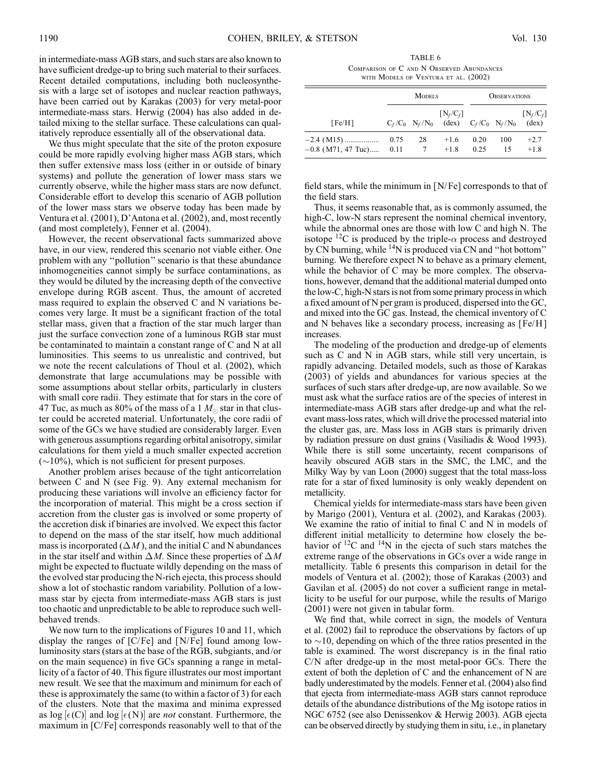in intermediate-mass AGB stars, and such stars are also known to have sufficient dredge-up to bring such material to their surfaces. Recent detailed computations, including both nucleosynthesis with a large set of isotopes and nuclear reaction pathways, have been carried out by Karakas (2003) for very metal-poor intermediate-mass stars. Herwig (2004) has also added in detailed mixing to the stellar surface. These calculations can qualitatively reproduce essentially all of the observational data.

We thus might speculate that the site of the proton exposure could be more rapidly evolving higher mass AGB stars, which then suffer extensive mass loss (either in or outside of binary systems) and pollute the generation of lower mass stars we currently observe, while the higher mass stars are now defunct. Considerable effort to develop this scenario of AGB pollution of the lower mass stars we observe today has been made by Ventura et al. (2001), D'Antona et al. (2002), and, most recently (and most completely), Fenner et al. (2004).

However, the recent observational facts summarized above have, in our view, rendered this scenario not viable either. One problem with any ''pollution'' scenario is that these abundance inhomogeneities cannot simply be surface contaminations, as they would be diluted by the increasing depth of the convective envelope during RGB ascent. Thus, the amount of accreted mass required to explain the observed C and N variations becomes very large. It must be a significant fraction of the total stellar mass, given that a fraction of the star much larger than just the surface convection zone of a luminous RGB star must be contaminated to maintain a constant range of C and N at all luminosities. This seems to us unrealistic and contrived, but we note the recent calculations of Thoul et al. (2002), which demonstrate that large accumulations may be possible with some assumptions about stellar orbits, particularly in clusters with small core radii. They estimate that for stars in the core of 47 Tuc, as much as 80% of the mass of a 1  $M_{\odot}$  star in that cluster could be accreted material. Unfortunately, the core radii of some of the GCs we have studied are considerably larger. Even with generous assumptions regarding orbital anisotropy, similar calculations for them yield a much smaller expected accretion  $(\sim 10\%)$ , which is not sufficient for present purposes.

Another problem arises because of the tight anticorrelation between C and N (see Fig. 9). Any external mechanism for producing these variations will involve an efficiency factor for the incorporation of material. This might be a cross section if accretion from the cluster gas is involved or some property of the accretion disk if binaries are involved. We expect this factor to depend on the mass of the star itself, how much additional mass is incorporated  $(\Delta M)$ , and the initial C and N abundances in the star itself and within  $\Delta M$ . Since these properties of  $\Delta M$ might be expected to fluctuate wildly depending on the mass of the evolved star producing the N-rich ejecta, this process should show a lot of stochastic random variability. Pollution of a lowmass star by ejecta from intermediate-mass AGB stars is just too chaotic and unpredictable to be able to reproduce such wellbehaved trends.

We now turn to the implications of Figures 10 and 11, which display the ranges of [C/Fe] and [N/Fe] found among lowluminosity stars (stars at the base of the RGB, subgiants, and/or on the main sequence) in five GCs spanning a range in metallicity of a factor of 40. This figure illustrates our most important new result. We see that the maximum and minimum for each of these is approximately the same (to within a factor of 3) for each of the clusters. Note that the maxima and minima expressed as  $log [e(C)]$  and  $log [e(N)]$  are *not* constant. Furthermore, the maximum in [C/Fe] corresponds reasonably well to that of the

TABLE 6 Comparison of C and N Observed Abundances with Models of Ventura et al. (2002)

|                                      |              | <b>MODELS</b> |                                                                                                        | <b>OBSERVATIONS</b> |           |                               |  |
|--------------------------------------|--------------|---------------|--------------------------------------------------------------------------------------------------------|---------------------|-----------|-------------------------------|--|
| [Fe/H]                               |              |               | $[N_f/C_f]$<br>$C_f/C_0$ N <sub>f</sub> /N <sub>0</sub> (dex) $C_f/C_0$ N <sub>f</sub> /N <sub>0</sub> |                     |           | $[N_f/C_f]$<br>$(\text{dex})$ |  |
| $-2.4$ (M15)<br>$-0.8$ (M71, 47 Tuc) | 0.75<br>0.11 | 28            | $+1.6$<br>$+1.8$                                                                                       | 0.20<br>0.25        | 100<br>15 | $+2.7$<br>$+1.8$              |  |

field stars, while the minimum in  $[N/Fe]$  corresponds to that of the field stars.

Thus, it seems reasonable that, as is commonly assumed, the high-C, low-N stars represent the nominal chemical inventory, while the abnormal ones are those with low C and high N. The isotope <sup>12</sup>C is produced by the triple- $\alpha$  process and destroyed by CN burning, while 14N is produced via CN and ''hot bottom'' burning. We therefore expect N to behave as a primary element, while the behavior of C may be more complex. The observations, however, demand that the additional material dumped onto the low-C, high-N stars is not from some primary process in which a fixed amount of N per gram is produced, dispersed into the GC, and mixed into the GC gas. Instead, the chemical inventory of C and N behaves like a secondary process, increasing as [Fe/H ] increases.

The modeling of the production and dredge-up of elements such as C and N in AGB stars, while still very uncertain, is rapidly advancing. Detailed models, such as those of Karakas (2003) of yields and abundances for various species at the surfaces of such stars after dredge-up, are now available. So we must ask what the surface ratios are of the species of interest in intermediate-mass AGB stars after dredge-up and what the relevant mass-loss rates, which will drive the processed material into the cluster gas, are. Mass loss in AGB stars is primarily driven by radiation pressure on dust grains (Vasiliadis & Wood 1993). While there is still some uncertainty, recent comparisons of heavily obscured AGB stars in the SMC, the LMC, and the Milky Way by van Loon (2000) suggest that the total mass-loss rate for a star of fixed luminosity is only weakly dependent on metallicity.

Chemical yields for intermediate-mass stars have been given by Marigo (2001), Ventura et al. (2002), and Karakas (2003). We examine the ratio of initial to final C and N in models of different initial metallicity to determine how closely the behavior of  $^{12}$ C and  $^{14}$ N in the ejecta of such stars matches the extreme range of the observations in GCs over a wide range in metallicity. Table 6 presents this comparison in detail for the models of Ventura et al. (2002); those of Karakas (2003) and Gavilan et al. (2005) do not cover a sufficient range in metallicity to be useful for our purpose, while the results of Marigo (2001) were not given in tabular form.

We find that, while correct in sign, the models of Ventura et al. (2002) fail to reproduce the observations by factors of up to  $\sim$ 10, depending on which of the three ratios presented in the table is examined. The worst discrepancy is in the final ratio C/N after dredge-up in the most metal-poor GCs. There the extent of both the depletion of C and the enhancement of N are badly underestimated by the models. Fenner et al. (2004) also find that ejecta from intermediate-mass AGB stars cannot reproduce details of the abundance distributions of the Mg isotope ratios in NGC 6752 (see also Denissenkov & Herwig 2003). AGB ejecta can be observed directly by studying them in situ, i.e., in planetary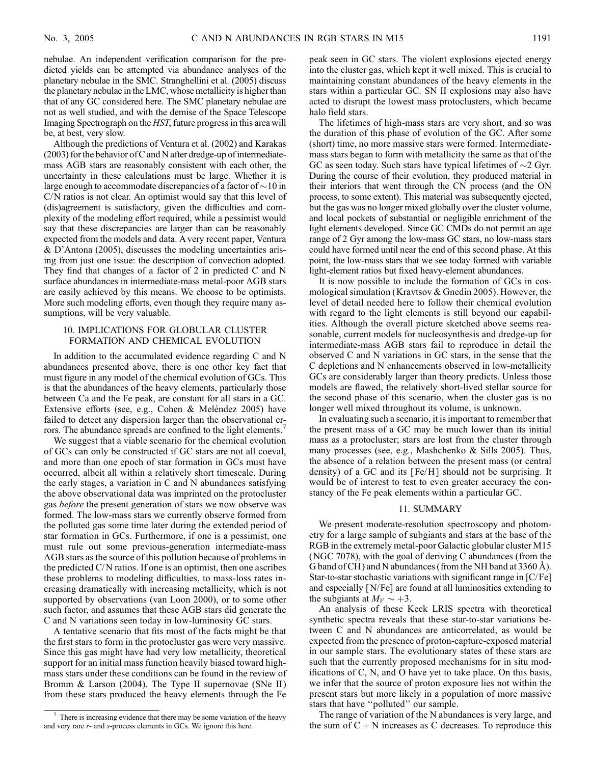nebulae. An independent verification comparison for the predicted yields can be attempted via abundance analyses of the planetary nebulae in the SMC. Stranghellini et al. (2005) discuss the planetary nebulae in the LMC, whose metallicity is higher than that of any GC considered here. The SMC planetary nebulae are not as well studied, and with the demise of the Space Telescope Imaging Spectrograph on the HST, future progress in this area will be, at best, very slow.

Although the predictions of Ventura et al. (2002) and Karakas (2003) for the behavior of C and N after dredge-up of intermediatemass AGB stars are reasonably consistent with each other, the uncertainty in these calculations must be large. Whether it is large enough to accommodate discrepancies of a factor of  $\sim$  10 in C/N ratios is not clear. An optimist would say that this level of (dis)agreement is satisfactory, given the difficulties and complexity of the modeling effort required, while a pessimist would say that these discrepancies are larger than can be reasonably expected from the models and data. A very recent paper, Ventura & D'Antona (2005), discusses the modeling uncertainties arising from just one issue: the description of convection adopted. They find that changes of a factor of 2 in predicted C and N surface abundances in intermediate-mass metal-poor AGB stars are easily achieved by this means. We choose to be optimists. More such modeling efforts, even though they require many assumptions, will be very valuable.

## 10. IMPLICATIONS FOR GLOBULAR CLUSTER FORMATION AND CHEMICAL EVOLUTION

In addition to the accumulated evidence regarding C and N abundances presented above, there is one other key fact that must figure in any model of the chemical evolution of GCs. This is that the abundances of the heavy elements, particularly those between Ca and the Fe peak, are constant for all stars in a GC. Extensive efforts (see, e.g., Cohen & Meléndez 2005) have failed to detect any dispersion larger than the observational errors. The abundance spreads are confined to the light elements.<sup>7</sup>

We suggest that a viable scenario for the chemical evolution of GCs can only be constructed if GC stars are not all coeval, and more than one epoch of star formation in GCs must have occurred, albeit all within a relatively short timescale. During the early stages, a variation in C and N abundances satisfying the above observational data was imprinted on the protocluster gas before the present generation of stars we now observe was formed. The low-mass stars we currently observe formed from the polluted gas some time later during the extended period of star formation in GCs. Furthermore, if one is a pessimist, one must rule out some previous-generation intermediate-mass AGB stars as the source of this pollution because of problems in the predicted C/N ratios. If one is an optimist, then one ascribes these problems to modeling difficulties, to mass-loss rates increasing dramatically with increasing metallicity, which is not supported by observations (van Loon 2000), or to some other such factor, and assumes that these AGB stars did generate the C and N variations seen today in low-luminosity GC stars.

A tentative scenario that fits most of the facts might be that the first stars to form in the protocluster gas were very massive. Since this gas might have had very low metallicity, theoretical support for an initial mass function heavily biased toward highmass stars under these conditions can be found in the review of Bromm & Larson (2004). The Type II supernovae (SNe II) from these stars produced the heavy elements through the Fe

peak seen in GC stars. The violent explosions ejected energy into the cluster gas, which kept it well mixed. This is crucial to maintaining constant abundances of the heavy elements in the stars within a particular GC. SN II explosions may also have acted to disrupt the lowest mass protoclusters, which became halo field stars.

The lifetimes of high-mass stars are very short, and so was the duration of this phase of evolution of the GC. After some (short) time, no more massive stars were formed. Intermediatemass stars began to form with metallicity the same as that of the GC as seen today. Such stars have typical lifetimes of  $\sim$ 2 Gyr. During the course of their evolution, they produced material in their interiors that went through the CN process (and the ON process, to some extent). This material was subsequently ejected, but the gas was no longer mixed globally over the cluster volume, and local pockets of substantial or negligible enrichment of the light elements developed. Since GC CMDs do not permit an age range of 2 Gyr among the low-mass GC stars, no low-mass stars could have formed until near the end of this second phase. At this point, the low-mass stars that we see today formed with variable light-element ratios but fixed heavy-element abundances.

It is now possible to include the formation of GCs in cosmological simulation (Kravtsov & Gnedin 2005). However, the level of detail needed here to follow their chemical evolution with regard to the light elements is still beyond our capabilities. Although the overall picture sketched above seems reasonable, current models for nucleosynthesis and dredge-up for intermediate-mass AGB stars fail to reproduce in detail the observed C and N variations in GC stars, in the sense that the C depletions and N enhancements observed in low-metallicity GCs are considerably larger than theory predicts. Unless those models are flawed, the relatively short-lived stellar source for the second phase of this scenario, when the cluster gas is no longer well mixed throughout its volume, is unknown.

In evaluating such a scenario, it is important to remember that the present mass of a GC may be much lower than its initial mass as a protocluster; stars are lost from the cluster through many processes (see, e.g., Mashchenko & Sills 2005). Thus, the absence of a relation between the present mass (or central density) of a GC and its [Fe/H] should not be surprising. It would be of interest to test to even greater accuracy the constancy of the Fe peak elements within a particular GC.

### 11. SUMMARY

We present moderate-resolution spectroscopy and photometry for a large sample of subgiants and stars at the base of the RGB in the extremely metal-poor Galactic globular cluster M15 (NGC 7078), with the goal of deriving C abundances (from the G band of CH) and N abundances (from the NH band at  $3360 \text{ Å}$ ). Star-to-star stochastic variations with significant range in [C/Fe] and especially [N/Fe] are found at all luminosities extending to the subgiants at  $M_V \sim +3$ .

An analysis of these Keck LRIS spectra with theoretical synthetic spectra reveals that these star-to-star variations between C and N abundances are anticorrelated, as would be expected from the presence of proton-capture-exposed material in our sample stars. The evolutionary states of these stars are such that the currently proposed mechanisms for in situ modifications of C, N, and O have yet to take place. On this basis, we infer that the source of proton exposure lies not within the present stars but more likely in a population of more massive stars that have ''polluted'' our sample.

The range of variation of the N abundances is very large, and the sum of  $C + N$  increases as C decreases. To reproduce this

There is increasing evidence that there may be some variation of the heavy and very rare r- and s-process elements in GCs. We ignore this here.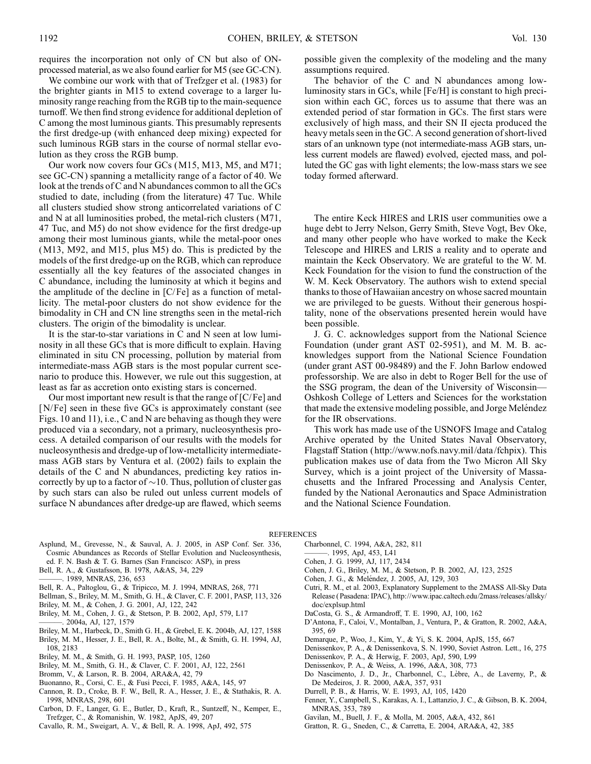requires the incorporation not only of CN but also of ONprocessed material, as we also found earlier for M5 (see GC-CN).

We combine our work with that of Trefzger et al. (1983) for the brighter giants in M15 to extend coverage to a larger luminosity range reaching from the RGB tip to the main-sequence turnoff. We then find strong evidence for additional depletion of C among the most luminous giants. This presumably represents the first dredge-up (with enhanced deep mixing) expected for such luminous RGB stars in the course of normal stellar evolution as they cross the RGB bump.

Our work now covers four GCs (M15, M13, M5, and M71; see GC-CN ) spanning a metallicity range of a factor of 40. We look at the trends of C and N abundances common to all the GCs studied to date, including (from the literature) 47 Tuc. While all clusters studied show strong anticorrelated variations of C and N at all luminosities probed, the metal-rich clusters (M71, 47 Tuc, and M5) do not show evidence for the first dredge-up among their most luminous giants, while the metal-poor ones (M13, M92, and M15, plus M5) do. This is predicted by the models of the first dredge-up on the RGB, which can reproduce essentially all the key features of the associated changes in C abundance, including the luminosity at which it begins and the amplitude of the decline in  $[C/Fe]$  as a function of metallicity. The metal-poor clusters do not show evidence for the bimodality in CH and CN line strengths seen in the metal-rich clusters. The origin of the bimodality is unclear.

It is the star-to-star variations in C and N seen at low luminosity in all these GCs that is more difficult to explain. Having eliminated in situ CN processing, pollution by material from intermediate-mass AGB stars is the most popular current scenario to produce this. However, we rule out this suggestion, at least as far as accretion onto existing stars is concerned.

Our most important new result is that the range of  $[C/Fe]$  and [N/Fe] seen in these five GCs is approximately constant (see Figs. 10 and 11), i.e., C and N are behaving as though they were produced via a secondary, not a primary, nucleosynthesis process. A detailed comparison of our results with the models for nucleosynthesis and dredge-up of low-metallicity intermediatemass AGB stars by Ventura et al. (2002) fails to explain the details of the C and N abundances, predicting key ratios incorrectly by up to a factor of  $\sim$ 10. Thus, pollution of cluster gas by such stars can also be ruled out unless current models of surface N abundances after dredge-up are flawed, which seems

possible given the complexity of the modeling and the many assumptions required.

The behavior of the C and N abundances among lowluminosity stars in GCs, while [Fe/H] is constant to high precision within each GC, forces us to assume that there was an extended period of star formation in GCs. The first stars were exclusively of high mass, and their SN II ejecta produced the heavy metals seen in the GC. A second generation of short-lived stars of an unknown type (not intermediate-mass AGB stars, unless current models are flawed) evolved, ejected mass, and polluted the GC gas with light elements; the low-mass stars we see today formed afterward.

The entire Keck HIRES and LRIS user communities owe a huge debt to Jerry Nelson, Gerry Smith, Steve Vogt, Bev Oke, and many other people who have worked to make the Keck Telescope and HIRES and LRIS a reality and to operate and maintain the Keck Observatory. We are grateful to the W. M. Keck Foundation for the vision to fund the construction of the W. M. Keck Observatory. The authors wish to extend special thanks to those of Hawaiian ancestry on whose sacred mountain we are privileged to be guests. Without their generous hospitality, none of the observations presented herein would have been possible.

J. G. C. acknowledges support from the National Science Foundation (under grant AST 02-5951), and M. M. B. acknowledges support from the National Science Foundation (under grant AST 00-98489) and the F. John Barlow endowed professorship. We are also in debt to Roger Bell for the use of the SSG program, the dean of the University of Wisconsin— Oshkosh College of Letters and Sciences for the workstation that made the extensive modeling possible, and Jorge Meléndez for the IR observations.

This work has made use of the USNOFS Image and Catalog Archive operated by the United States Naval Observatory, Flagstaff Station ( http://www.nofs.navy.mil/data/fchpix). This publication makes use of data from the Two Micron All Sky Survey, which is a joint project of the University of Massachusetts and the Infrared Processing and Analysis Center, funded by the National Aeronautics and Space Administration and the National Science Foundation.

#### REFERENCES

- Asplund, M., Grevesse, N., & Sauval, A. J. 2005, in ASP Conf. Ser. 336, Cosmic Abundances as Records of Stellar Evolution and Nucleosynthesis, ed. F. N. Bash & T. G. Barnes (San Francisco: ASP), in press
- Bell, R. A., & Gustafsson, B. 1978, A&AS, 34, 229
- ———. 1989, MNRAS, 236, 653
- Bell, R. A., Paltoglou, G., & Tripicco, M. J. 1994, MNRAS, 268, 771
- Bellman, S., Briley, M. M., Smith, G. H., & Claver, C. F. 2001, PASP, 113, 326
- Briley, M. M., & Cohen, J. G. 2001, AJ, 122, 242
- Briley, M. M., Cohen, J. G., & Stetson, P. B. 2002, ApJ, 579, L17
- ———. 2004a, AJ, 127, 1579
- Briley, M. M., Harbeck, D., Smith G. H., & Grebel, E. K. 2004b, AJ, 127, 1588
- Briley, M. M., Hesser, J. E., Bell, R. A., Bolte, M., & Smith, G. H. 1994, AJ, 108, 2183
- Briley, M. M., & Smith, G. H. 1993, PASP, 105, 1260
- Briley, M. M., Smith, G. H., & Claver, C. F. 2001, AJ, 122, 2561
- Bromm, V., & Larson, R. B. 2004, ARA&A, 42, 79
- Buonanno, R., Corsi, C. E., & Fusi Pecci, F. 1985, A&A, 145, 97
- Cannon, R. D., Croke, B. F. W., Bell, R. A., Hesser, J. E., & Stathakis, R. A. 1998, MNRAS, 298, 601
- Carbon, D. F., Langer, G. E., Butler, D., Kraft, R., Suntzeff, N., Kemper, E., Trefzger, C., & Romanishin, W. 1982, ApJS, 49, 207
- Cavallo, R. M., Sweigart, A. V., & Bell, R. A. 1998, ApJ, 492, 575
- Charbonnel, C. 1994, A&A, 282, 811
- ———. 1995, ApJ, 453, L41
- Cohen, J. G. 1999, AJ, 117, 2434
- Cohen, J. G., Briley, M. M., & Stetson, P. B. 2002, AJ, 123, 2525
- Cohen, J. G., & Meléndez, J. 2005, AJ, 129, 303
- Cutri, R. M., et al. 2003, Explanatory Supplement to the 2MASS All-Sky Data Release ( Pasadena: IPAC), http://www.ipac.caltech.edu/2mass/releases/allsky/ doc/explsup.html
- DaCosta, G. S., & Armandroff, T. E. 1990, AJ, 100, 162
- D'Antona, F., Caloi, V., Montalban, J., Ventura, P., & Gratton, R. 2002, A&A, 395, 69
- Demarque, P., Woo, J., Kim, Y., & Yi, S. K. 2004, ApJS, 155, 667
- Denissenkov, P. A., & Denissenkova, S. N. 1990, Soviet Astron. Lett., 16, 275
- Denissenkov, P. A., & Herwig, F. 2003, ApJ, 590, L99
- Denissenkov, P. A., & Weiss, A. 1996, A&A, 308, 773
- Do Nascimento, J. D., Jr., Charbonnel, C., Lèbre, A., de Laverny, P., & De Medeiros, J. R. 2000, A&A, 357, 931
- Durrell, P. B., & Harris, W. E. 1993, AJ, 105, 1420
- Fenner, Y., Campbell, S., Karakas, A. I., Lattanzio, J. C., & Gibson, B. K. 2004, MNRAS, 353, 789
- Gavilan, M., Buell, J. F., & Molla, M. 2005, A&A, 432, 861
- Gratton, R. G., Sneden, C., & Carretta, E. 2004, ARA&A, 42, 385